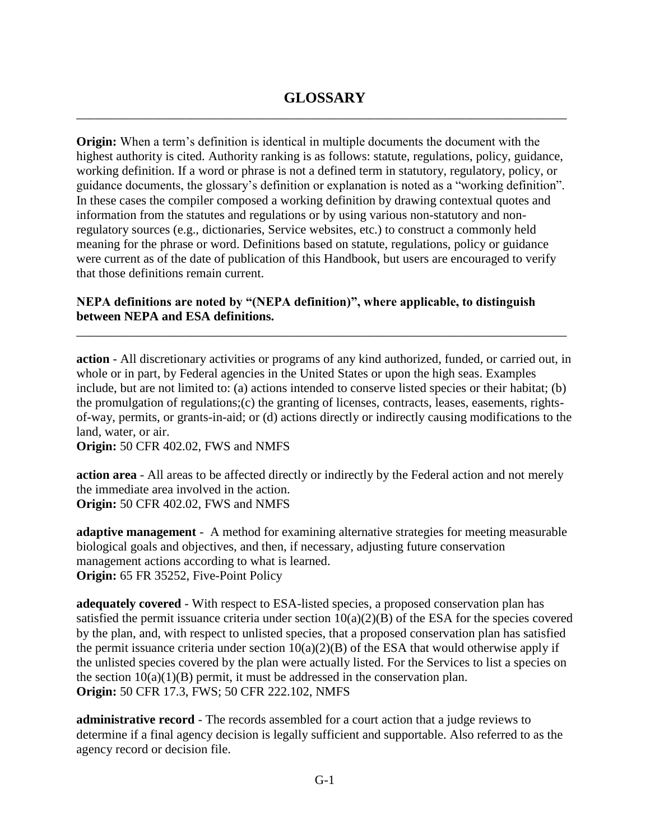**Origin:** When a term's definition is identical in multiple documents the document with the highest authority is cited. Authority ranking is as follows: statute, regulations, policy, guidance, working definition. If a word or phrase is not a defined term in statutory, regulatory, policy, or guidance documents, the glossary's definition or explanation is noted as a "working definition". In these cases the compiler composed a working definition by drawing contextual quotes and information from the statutes and regulations or by using various non-statutory and nonregulatory sources (e.g., dictionaries, Service websites, etc.) to construct a commonly held meaning for the phrase or word. Definitions based on statute, regulations, policy or guidance were current as of the date of publication of this Handbook, but users are encouraged to verify that those definitions remain current.

# **NEPA definitions are noted by "(NEPA definition)", where applicable, to distinguish between NEPA and ESA definitions.**

**action** - All discretionary activities or programs of any kind authorized, funded, or carried out, in whole or in part, by Federal agencies in the United States or upon the high seas. Examples include, but are not limited to: (a) actions intended to conserve listed species or their habitat; (b) the promulgation of regulations;(c) the granting of licenses, contracts, leases, easements, rightsof-way, permits, or grants-in-aid; or (d) actions directly or indirectly causing modifications to the land, water, or air.

\_\_\_\_\_\_\_\_\_\_\_\_\_\_\_\_\_\_\_\_\_\_\_\_\_\_\_\_\_\_\_\_\_\_\_\_\_\_\_\_\_\_\_\_\_\_\_\_\_\_\_\_\_\_\_\_\_\_\_\_\_\_\_\_\_\_\_\_\_\_\_\_\_\_\_\_\_

**Origin:** 50 CFR 402.02, FWS and NMFS

**action area** - All areas to be affected directly or indirectly by the Federal action and not merely the immediate area involved in the action. **Origin:** 50 CFR 402.02, FWS and NMFS

**adaptive management** - A method for examining alternative strategies for meeting measurable biological goals and objectives, and then, if necessary, adjusting future conservation management actions according to what is learned. **Origin:** 65 FR 35252, Five-Point Policy

**adequately covered** - With respect to ESA-listed species, a proposed conservation plan has satisfied the permit issuance criteria under section  $10(a)(2)(B)$  of the ESA for the species covered by the plan, and, with respect to unlisted species, that a proposed conservation plan has satisfied the permit issuance criteria under section  $10(a)(2)(B)$  of the ESA that would otherwise apply if the unlisted species covered by the plan were actually listed. For the Services to list a species on the section  $10(a)(1)(B)$  permit, it must be addressed in the conservation plan. **Origin:** 50 CFR 17.3, FWS; 50 CFR 222.102, NMFS

**administrative record** - The records assembled for a court action that a judge reviews to determine if a final agency decision is legally sufficient and supportable. Also referred to as the agency record or decision file.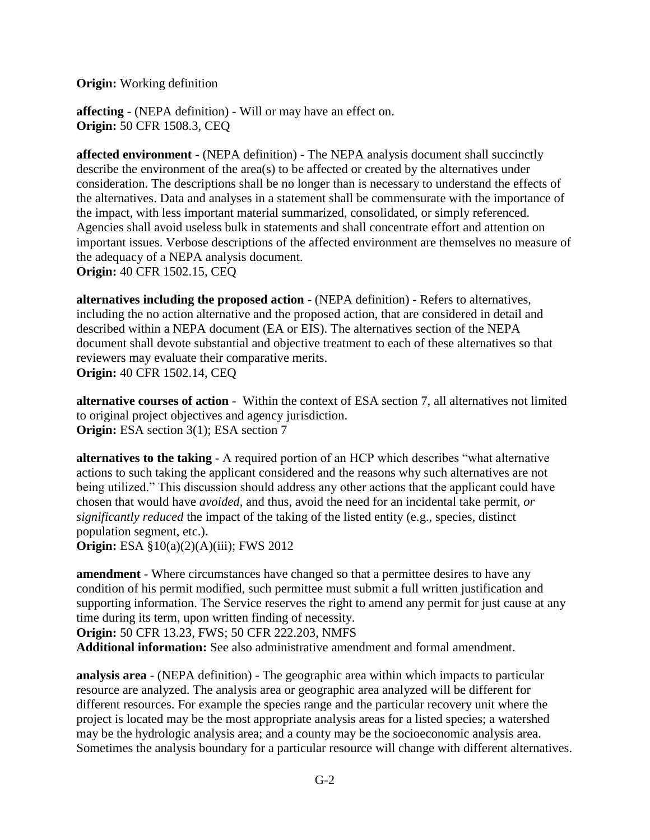**Origin:** Working definition

**affecting** - (NEPA definition) - Will or may have an effect on. **Origin:** 50 CFR 1508.3, CEQ

**affected environment** - (NEPA definition) - The NEPA analysis document shall succinctly describe the environment of the area(s) to be affected or created by the alternatives under consideration. The descriptions shall be no longer than is necessary to understand the effects of the alternatives. Data and analyses in a statement shall be commensurate with the importance of the impact, with less important material summarized, consolidated, or simply referenced. Agencies shall avoid useless bulk in statements and shall concentrate effort and attention on important issues. Verbose descriptions of the affected environment are themselves no measure of the adequacy of a NEPA analysis document. **Origin:** 40 CFR 1502.15, CEQ

**alternatives including the proposed action** - (NEPA definition) - Refers to alternatives, including the no action alternative and the proposed action, that are considered in detail and described within a NEPA document (EA or EIS). The alternatives section of the NEPA document shall devote substantial and objective treatment to each of these alternatives so that reviewers may evaluate their comparative merits. **Origin:** 40 CFR 1502.14, CEQ

**alternative courses of action** - Within the context of ESA section 7, all alternatives not limited to original project objectives and agency jurisdiction. **Origin:** ESA section 3(1); ESA section 7

**alternatives to the taking** - A required portion of an HCP which describes "what alternative actions to such taking the applicant considered and the reasons why such alternatives are not being utilized." This discussion should address any other actions that the applicant could have chosen that would have *avoided,* and thus, avoid the need for an incidental take permit*, or significantly reduced* the impact of the taking of the listed entity (e.g., species, distinct population segment, etc.).

**Origin:** ESA §10(a)(2)(A)(iii); FWS 2012

**amendment** - Where circumstances have changed so that a permittee desires to have any condition of his permit modified, such permittee must submit a full written justification and supporting information. The Service reserves the right to amend any permit for just cause at any time during its term, upon written finding of necessity.

**Origin:** 50 CFR 13.23, FWS; 50 CFR 222.203, NMFS

**Additional information:** See also administrative amendment and formal amendment.

**analysis area** - (NEPA definition) - The geographic area within which impacts to particular resource are analyzed. The analysis area or geographic area analyzed will be different for different resources. For example the species range and the particular recovery unit where the project is located may be the most appropriate analysis areas for a listed species; a watershed may be the hydrologic analysis area; and a county may be the socioeconomic analysis area. Sometimes the analysis boundary for a particular resource will change with different alternatives.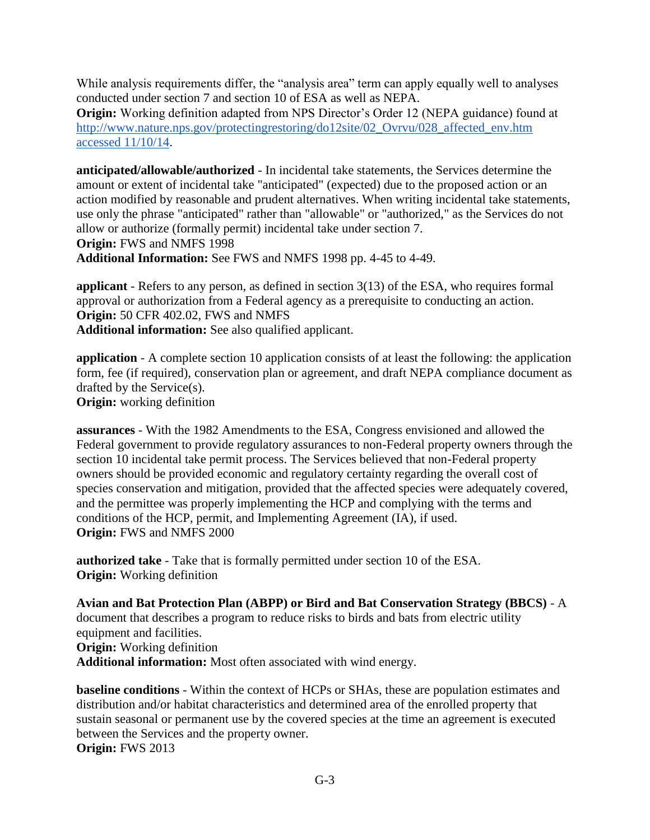While analysis requirements differ, the "analysis area" term can apply equally well to analyses conducted under section 7 and section 10 of ESA as well as NEPA.

**Origin:** Working definition adapted from NPS Director's Order 12 (NEPA guidance) found at [http://www.nature.nps.gov/protectingrestoring/do12site/02\\_Ovrvu/028\\_affected\\_env.htm](http://www.nature.nps.gov/protectingrestoring/do12site/02_Ovrvu/028_affected_env.htm%20accessed%2011/10/14)  [accessed 11/10/14.](http://www.nature.nps.gov/protectingrestoring/do12site/02_Ovrvu/028_affected_env.htm%20accessed%2011/10/14)

**anticipated/allowable/authorized** - In incidental take statements, the Services determine the amount or extent of incidental take "anticipated" (expected) due to the proposed action or an action modified by reasonable and prudent alternatives. When writing incidental take statements, use only the phrase "anticipated" rather than "allowable" or "authorized," as the Services do not allow or authorize (formally permit) incidental take under section 7. **Origin:** FWS and NMFS 1998

**Additional Information:** See FWS and NMFS 1998 pp. 4-45 to 4-49.

**applicant** - Refers to any person, as defined in section 3(13) of the ESA, who requires formal approval or authorization from a Federal agency as a prerequisite to conducting an action. **Origin:** 50 CFR 402.02, FWS and NMFS **Additional information:** See also qualified applicant.

**application** - A complete section 10 application consists of at least the following: the application form, fee (if required), conservation plan or agreement, and draft NEPA compliance document as drafted by the Service(s).

**Origin:** working definition

**assurances** - With the 1982 Amendments to the ESA, Congress envisioned and allowed the Federal government to provide regulatory assurances to non-Federal property owners through the section 10 incidental take permit process. The Services believed that non-Federal property owners should be provided economic and regulatory certainty regarding the overall cost of species conservation and mitigation, provided that the affected species were adequately covered, and the permittee was properly implementing the HCP and complying with the terms and conditions of the HCP, permit, and Implementing Agreement (IA), if used. **Origin:** FWS and NMFS 2000

**authorized take** - Take that is formally permitted under section 10 of the ESA. **Origin:** Working definition

**Avian and Bat Protection Plan (ABPP) or Bird and Bat Conservation Strategy (BBCS)** - A document that describes a program to reduce risks to birds and bats from electric utility equipment and facilities.

**Origin:** Working definition

**Additional information:** Most often associated with wind energy.

**baseline conditions** - Within the context of HCPs or SHAs, these are population estimates and distribution and/or habitat characteristics and determined area of the enrolled property that sustain seasonal or permanent use by the covered species at the time an agreement is executed between the Services and the property owner. **Origin:** FWS 2013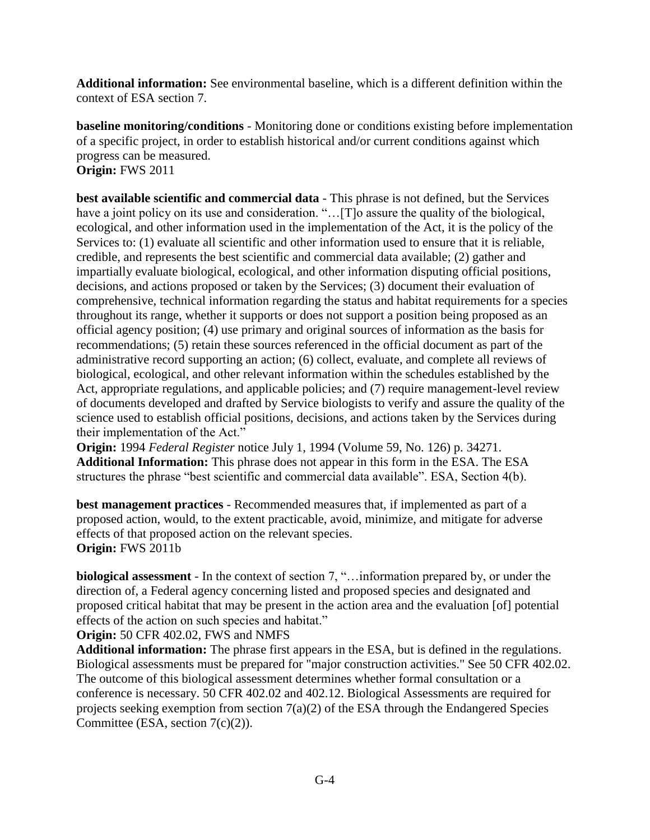**Additional information:** See environmental baseline, which is a different definition within the context of ESA section 7.

**baseline monitoring/conditions** - Monitoring done or conditions existing before implementation of a specific project, in order to establish historical and/or current conditions against which progress can be measured. **Origin:** FWS 2011

**best available scientific and commercial data** - This phrase is not defined, but the Services have a joint policy on its use and consideration. "...[T]<sup>o</sup> assure the quality of the biological, ecological, and other information used in the implementation of the Act, it is the policy of the Services to: (1) evaluate all scientific and other information used to ensure that it is reliable, credible, and represents the best scientific and commercial data available; (2) gather and impartially evaluate biological, ecological, and other information disputing official positions, decisions, and actions proposed or taken by the Services; (3) document their evaluation of comprehensive, technical information regarding the status and habitat requirements for a species throughout its range, whether it supports or does not support a position being proposed as an official agency position; (4) use primary and original sources of information as the basis for recommendations; (5) retain these sources referenced in the official document as part of the administrative record supporting an action; (6) collect, evaluate, and complete all reviews of biological, ecological, and other relevant information within the schedules established by the Act, appropriate regulations, and applicable policies; and (7) require management-level review of documents developed and drafted by Service biologists to verify and assure the quality of the science used to establish official positions, decisions, and actions taken by the Services during their implementation of the Act."

**Origin:** 1994 *Federal Register* notice July 1, 1994 (Volume 59, No. 126) p. 34271. **Additional Information:** This phrase does not appear in this form in the ESA. The ESA structures the phrase "best scientific and commercial data available". ESA, Section 4(b).

**best management practices** - Recommended measures that, if implemented as part of a proposed action, would, to the extent practicable, avoid, minimize, and mitigate for adverse effects of that proposed action on the relevant species. **Origin:** FWS 2011b

**biological assessment** - In the context of section 7, "…information prepared by, or under the direction of, a Federal agency concerning listed and proposed species and designated and proposed critical habitat that may be present in the action area and the evaluation [of] potential effects of the action on such species and habitat."

**Origin:** 50 CFR 402.02, FWS and NMFS

**Additional information:** The phrase first appears in the ESA, but is defined in the regulations. Biological assessments must be prepared for "major construction activities." See 50 CFR 402.02. The outcome of this biological assessment determines whether formal consultation or a conference is necessary. 50 CFR 402.02 and 402.12. Biological Assessments are required for projects seeking exemption from section  $7(a)(2)$  of the ESA through the Endangered Species Committee (ESA, section 7(c)(2)).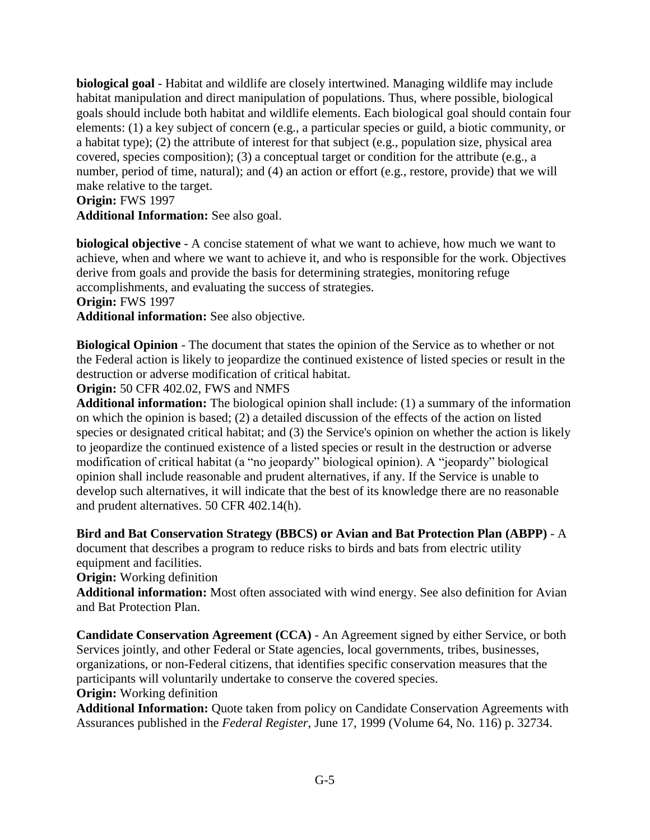**biological goal** - Habitat and wildlife are closely intertwined. Managing wildlife may include habitat manipulation and direct manipulation of populations. Thus, where possible, biological goals should include both habitat and wildlife elements. Each biological goal should contain four elements: (1) a key subject of concern (e.g., a particular species or guild, a biotic community, or a habitat type); (2) the attribute of interest for that subject (e.g., population size, physical area covered, species composition); (3) a conceptual target or condition for the attribute (e.g., a number, period of time, natural); and (4) an action or effort (e.g., restore, provide) that we will make relative to the target.

### **Origin:** FWS 1997

**Additional Information:** See also goal.

**biological objective** - A concise statement of what we want to achieve, how much we want to achieve, when and where we want to achieve it, and who is responsible for the work. Objectives derive from goals and provide the basis for determining strategies, monitoring refuge accomplishments, and evaluating the success of strategies.

#### **Origin:** FWS 1997

**Additional information:** See also objective.

**Biological Opinion** - The document that states the opinion of the Service as to whether or not the Federal action is likely to jeopardize the continued existence of listed species or result in the destruction or adverse modification of critical habitat.

**Origin:** 50 CFR 402.02, FWS and NMFS

**Additional information:** The biological opinion shall include: (1) a summary of the information on which the opinion is based; (2) a detailed discussion of the effects of the action on listed species or designated critical habitat; and (3) the Service's opinion on whether the action is likely to jeopardize the continued existence of a listed species or result in the destruction or adverse modification of critical habitat (a "no jeopardy" biological opinion). A "jeopardy" biological opinion shall include reasonable and prudent alternatives, if any. If the Service is unable to develop such alternatives, it will indicate that the best of its knowledge there are no reasonable and prudent alternatives. 50 CFR 402.14(h).

### **Bird and Bat Conservation Strategy (BBCS) or Avian and Bat Protection Plan (ABPP)** - A

document that describes a program to reduce risks to birds and bats from electric utility equipment and facilities.

#### **Origin:** Working definition

**Additional information:** Most often associated with wind energy. See also definition for Avian and Bat Protection Plan.

**Candidate Conservation Agreement (CCA)** - An Agreement signed by either Service, or both Services jointly, and other Federal or State agencies, local governments, tribes, businesses, organizations, or non-Federal citizens, that identifies specific conservation measures that the participants will voluntarily undertake to conserve the covered species.

**Origin:** Working definition

**Additional Information:** Quote taken from policy on Candidate Conservation Agreements with Assurances published in the *Federal Register*, June 17, 1999 (Volume 64, No. 116) p. 32734.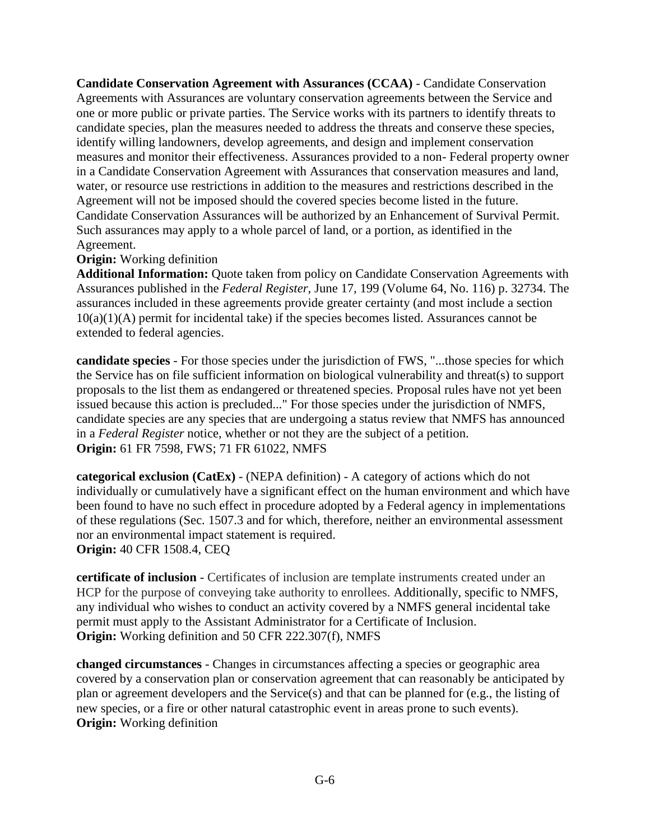**Candidate Conservation Agreement with Assurances (CCAA)** - Candidate Conservation Agreements with Assurances are voluntary conservation agreements between the Service and one or more public or private parties. The Service works with its partners to identify threats to candidate species, plan the measures needed to address the threats and conserve these species, identify willing landowners, develop agreements, and design and implement conservation measures and monitor their effectiveness. Assurances provided to a non- Federal property owner in a Candidate Conservation Agreement with Assurances that conservation measures and land, water, or resource use restrictions in addition to the measures and restrictions described in the Agreement will not be imposed should the covered species become listed in the future. Candidate Conservation Assurances will be authorized by an Enhancement of Survival Permit. Such assurances may apply to a whole parcel of land, or a portion, as identified in the Agreement.

### **Origin:** Working definition

**Additional Information:** Quote taken from policy on Candidate Conservation Agreements with Assurances published in the *Federal Register*, June 17, 199 (Volume 64, No. 116) p. 32734. The assurances included in these agreements provide greater certainty (and most include a section  $10(a)(1)(A)$  permit for incidental take) if the species becomes listed. Assurances cannot be extended to federal agencies.

**candidate species** - For those species under the jurisdiction of FWS, "...those species for which the Service has on file sufficient information on biological vulnerability and threat(s) to support proposals to the list them as endangered or threatened species. Proposal rules have not yet been issued because this action is precluded..." For those species under the jurisdiction of NMFS, candidate species are any species that are undergoing a status review that NMFS has announced in a *Federal Register* notice, whether or not they are the subject of a petition. **Origin:** 61 FR 7598, FWS; 71 FR 61022, NMFS

**categorical exclusion (CatEx)** - (NEPA definition) - A category of actions which do not individually or cumulatively have a significant effect on the human environment and which have been found to have no such effect in procedure adopted by a Federal agency in implementations of these regulations (Sec. 1507.3 and for which, therefore, neither an environmental assessment nor an environmental impact statement is required. **Origin:** 40 CFR 1508.4, CEQ

**certificate of inclusion** - Certificates of inclusion are template instruments created under an HCP for the purpose of conveying take authority to enrollees. Additionally, specific to NMFS, any individual who wishes to conduct an activity covered by a NMFS general incidental take permit must apply to the Assistant Administrator for a Certificate of Inclusion. **Origin:** Working definition and 50 CFR 222.307(f), NMFS

**changed circumstances** - Changes in circumstances affecting a species or geographic area covered by a conservation plan or conservation agreement that can reasonably be anticipated by plan or agreement developers and the Service(s) and that can be planned for (e.g., the listing of new species, or a fire or other natural catastrophic event in areas prone to such events). **Origin:** Working definition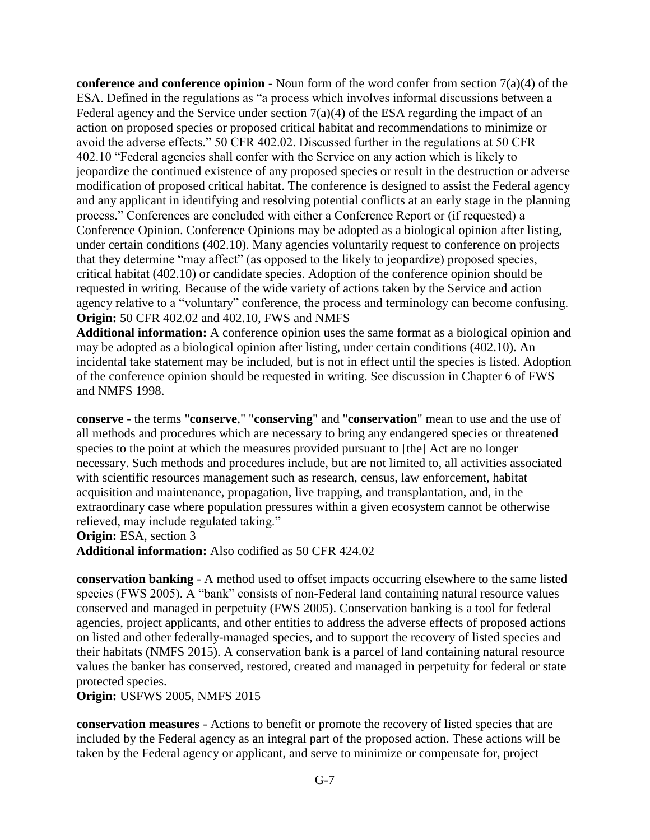**conference and conference opinion** - Noun form of the word confer from section 7(a)(4) of the ESA. Defined in the regulations as "a process which involves informal discussions between a Federal agency and the Service under section 7(a)(4) of the ESA regarding the impact of an action on proposed species or proposed critical habitat and recommendations to minimize or avoid the adverse effects." 50 CFR 402.02. Discussed further in the regulations at 50 CFR 402.10 "Federal agencies shall confer with the Service on any action which is likely to jeopardize the continued existence of any proposed species or result in the destruction or adverse modification of proposed critical habitat. The conference is designed to assist the Federal agency and any applicant in identifying and resolving potential conflicts at an early stage in the planning process." Conferences are concluded with either a Conference Report or (if requested) a Conference Opinion. Conference Opinions may be adopted as a biological opinion after listing, under certain conditions (402.10). Many agencies voluntarily request to conference on projects that they determine "may affect" (as opposed to the likely to jeopardize) proposed species, critical habitat (402.10) or candidate species. Adoption of the conference opinion should be requested in writing. Because of the wide variety of actions taken by the Service and action agency relative to a "voluntary" conference, the process and terminology can become confusing. **Origin:** 50 CFR 402.02 and 402.10, FWS and NMFS

**Additional information:** A conference opinion uses the same format as a biological opinion and may be adopted as a biological opinion after listing, under certain conditions (402.10). An incidental take statement may be included, but is not in effect until the species is listed. Adoption of the conference opinion should be requested in writing. See discussion in Chapter 6 of FWS and NMFS 1998.

**conserve** - the terms "**conserve**," "**conserving**" and "**conservation**" mean to use and the use of all methods and procedures which are necessary to bring any endangered species or threatened species to the point at which the measures provided pursuant to [the] Act are no longer necessary. Such methods and procedures include, but are not limited to, all activities associated with scientific resources management such as research, census, law enforcement, habitat acquisition and maintenance, propagation, live trapping, and transplantation, and, in the extraordinary case where population pressures within a given ecosystem cannot be otherwise relieved, may include regulated taking."

**Origin:** ESA, section 3

**Additional information:** Also codified as 50 CFR 424.02

**conservation banking** - A method used to offset impacts occurring elsewhere to the same listed species (FWS 2005). A "bank" consists of non-Federal land containing natural resource values conserved and managed in perpetuity (FWS 2005). Conservation banking is a tool for federal agencies, project applicants, and other entities to address the adverse effects of proposed actions on listed and other federally-managed species, and to support the recovery of listed species and their habitats (NMFS 2015). A conservation bank is a parcel of land containing natural resource values the banker has conserved, restored, created and managed in perpetuity for federal or state protected species.

**Origin:** USFWS 2005, NMFS 2015

**conservation measures** - Actions to benefit or promote the recovery of listed species that are included by the Federal agency as an integral part of the proposed action. These actions will be taken by the Federal agency or applicant, and serve to minimize or compensate for, project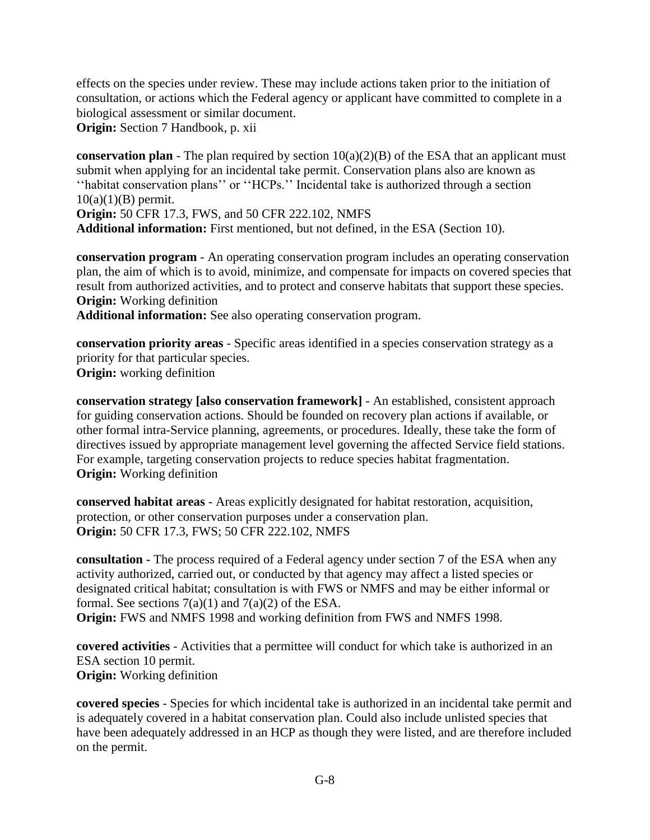effects on the species under review. These may include actions taken prior to the initiation of consultation, or actions which the Federal agency or applicant have committed to complete in a biological assessment or similar document.

**Origin:** Section 7 Handbook, p. xii

**conservation plan** - The plan required by section  $10(a)(2)(B)$  of the ESA that an applicant must submit when applying for an incidental take permit. Conservation plans also are known as ''habitat conservation plans'' or ''HCPs.'' Incidental take is authorized through a section  $10(a)(1)(B)$  permit. **Origin:** 50 CFR 17.3, FWS, and 50 CFR 222.102, NMFS

**Additional information:** First mentioned, but not defined, in the ESA (Section 10).

**conservation program** - An operating conservation program includes an operating conservation plan, the aim of which is to avoid, minimize, and compensate for impacts on covered species that result from authorized activities, and to protect and conserve habitats that support these species. **Origin:** Working definition

**Additional information:** See also operating conservation program.

**conservation priority areas** - Specific areas identified in a species conservation strategy as a priority for that particular species. **Origin:** working definition

**conservation strategy [also conservation framework]** - An established, consistent approach for guiding conservation actions. Should be founded on recovery plan actions if available, or other formal intra-Service planning, agreements, or procedures. Ideally, these take the form of directives issued by appropriate management level governing the affected Service field stations. For example, targeting conservation projects to reduce species habitat fragmentation. **Origin:** Working definition

**conserved habitat areas** - Areas explicitly designated for habitat restoration, acquisition, protection, or other conservation purposes under a conservation plan. **Origin:** 50 CFR 17.3, FWS; 50 CFR 222.102, NMFS

**consultation -** The process required of a Federal agency under section 7 of the ESA when any activity authorized, carried out, or conducted by that agency may affect a listed species or designated critical habitat; consultation is with FWS or NMFS and may be either informal or formal. See sections  $7(a)(1)$  and  $7(a)(2)$  of the ESA. **Origin:** FWS and NMFS 1998 and working definition from FWS and NMFS 1998.

**covered activities** - Activities that a permittee will conduct for which take is authorized in an ESA section 10 permit. **Origin:** Working definition

**covered species** - Species for which incidental take is authorized in an incidental take permit and is adequately covered in a habitat conservation plan. Could also include unlisted species that have been adequately addressed in an HCP as though they were listed, and are therefore included on the permit.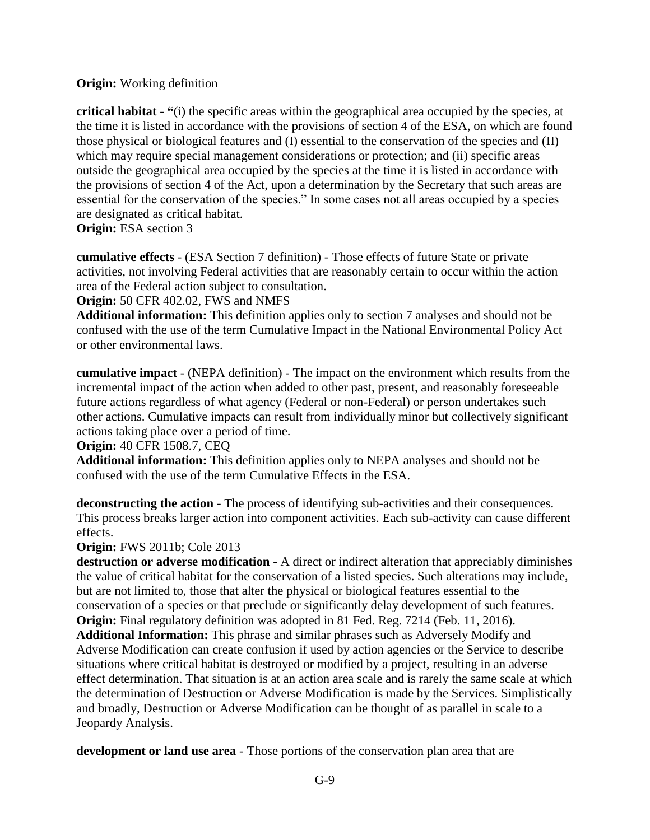# **Origin:** Working definition

**critical habitat** - **"**(i) the specific areas within the geographical area occupied by the species, at the time it is listed in accordance with the provisions of section 4 of the ESA, on which are found those physical or biological features and (I) essential to the conservation of the species and (II) which may require special management considerations or protection; and (ii) specific areas outside the geographical area occupied by the species at the time it is listed in accordance with the provisions of section 4 of the Act, upon a determination by the Secretary that such areas are essential for the conservation of the species." In some cases not all areas occupied by a species are designated as critical habitat.

# **Origin:** ESA section 3

**cumulative effects** - (ESA Section 7 definition) - Those effects of future State or private activities, not involving Federal activities that are reasonably certain to occur within the action area of the Federal action subject to consultation.

**Origin:** 50 CFR 402.02, FWS and NMFS

**Additional information:** This definition applies only to section 7 analyses and should not be confused with the use of the term Cumulative Impact in the National Environmental Policy Act or other environmental laws.

**cumulative impact** - (NEPA definition) - The impact on the environment which results from the incremental impact of the action when added to other past, present, and reasonably foreseeable future actions regardless of what agency (Federal or non-Federal) or person undertakes such other actions. Cumulative impacts can result from individually minor but collectively significant actions taking place over a period of time.

### **Origin:** 40 CFR 1508.7, CEQ

**Additional information:** This definition applies only to NEPA analyses and should not be confused with the use of the term Cumulative Effects in the ESA.

**deconstructing the action** - The process of identifying sub-activities and their consequences. This process breaks larger action into component activities. Each sub-activity can cause different effects.

# **Origin:** FWS 2011b; Cole 2013

**destruction or adverse modification** - A direct or indirect alteration that appreciably diminishes the value of critical habitat for the conservation of a listed species. Such alterations may include, but are not limited to, those that alter the physical or biological features essential to the conservation of a species or that preclude or significantly delay development of such features. **Origin:** Final regulatory definition was adopted in 81 Fed. Reg. 7214 (Feb. 11, 2016).

**Additional Information:** This phrase and similar phrases such as Adversely Modify and Adverse Modification can create confusion if used by action agencies or the Service to describe situations where critical habitat is destroyed or modified by a project, resulting in an adverse effect determination. That situation is at an action area scale and is rarely the same scale at which the determination of Destruction or Adverse Modification is made by the Services. Simplistically and broadly, Destruction or Adverse Modification can be thought of as parallel in scale to a Jeopardy Analysis.

**development or land use area** - Those portions of the conservation plan area that are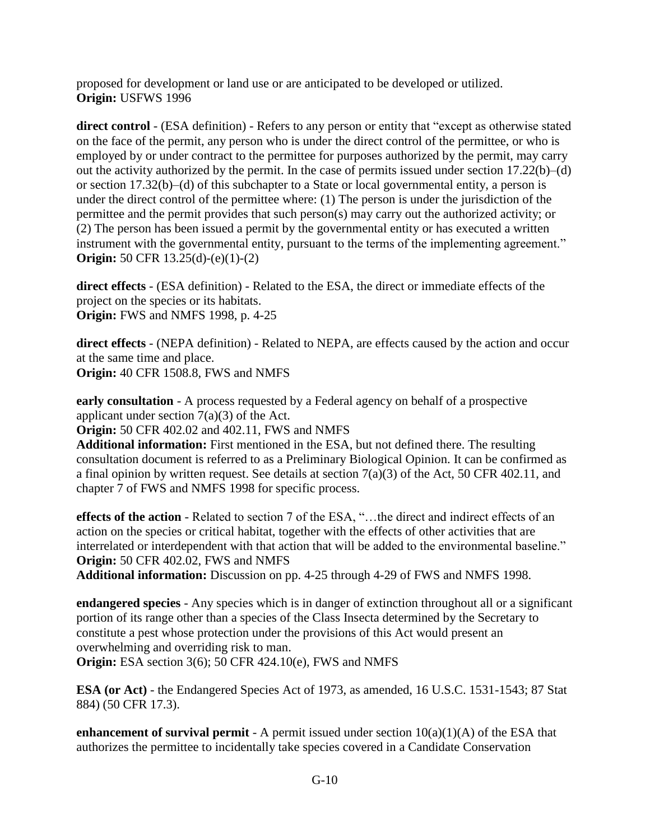proposed for development or land use or are anticipated to be developed or utilized. **Origin:** USFWS 1996

**direct control** - (ESA definition) - Refers to any person or entity that "except as otherwise stated on the face of the permit, any person who is under the direct control of the permittee, or who is employed by or under contract to the permittee for purposes authorized by the permit, may carry out the activity authorized by the permit. In the case of permits issued under section 17.22(b)–(d) or section 17.32(b)–(d) of this subchapter to a State or local governmental entity, a person is under the direct control of the permittee where: (1) The person is under the jurisdiction of the permittee and the permit provides that such person(s) may carry out the authorized activity; or (2) The person has been issued a permit by the governmental entity or has executed a written instrument with the governmental entity, pursuant to the terms of the implementing agreement." **Origin:** 50 CFR 13.25(d)-(e)(1)-(2)

**direct effects** - (ESA definition) - Related to the ESA, the direct or immediate effects of the project on the species or its habitats. **Origin:** FWS and NMFS 1998, p. 4-25

**direct effects** - (NEPA definition) - Related to NEPA, are effects caused by the action and occur at the same time and place.

**Origin:** 40 CFR 1508.8, FWS and NMFS

**early consultation** - A process requested by a Federal agency on behalf of a prospective applicant under section  $7(a)(3)$  of the Act.

**Origin:** 50 CFR 402.02 and 402.11, FWS and NMFS

**Additional information:** First mentioned in the ESA, but not defined there. The resulting consultation document is referred to as a Preliminary Biological Opinion. It can be confirmed as a final opinion by written request. See details at section 7(a)(3) of the Act, 50 CFR 402.11, and chapter 7 of FWS and NMFS 1998 for specific process.

**effects of the action** - Related to section 7 of the ESA, "…the direct and indirect effects of an action on the species or critical habitat, together with the effects of other activities that are interrelated or interdependent with that action that will be added to the environmental baseline." **Origin:** 50 CFR 402.02, FWS and NMFS

**Additional information:** Discussion on pp. 4-25 through 4-29 of FWS and NMFS 1998.

**endangered species** - Any species which is in danger of extinction throughout all or a significant portion of its range other than a species of the Class Insecta determined by the Secretary to constitute a pest whose protection under the provisions of this Act would present an overwhelming and overriding risk to man.

**Origin:** ESA section 3(6); 50 CFR 424.10(e), FWS and NMFS

**ESA (or Act)** - the Endangered Species Act of 1973, as amended, 16 U.S.C. 1531-1543; 87 Stat 884) (50 CFR 17.3).

**enhancement of survival permit** - A permit issued under section  $10(a)(1)(A)$  of the ESA that authorizes the permittee to incidentally take species covered in a Candidate Conservation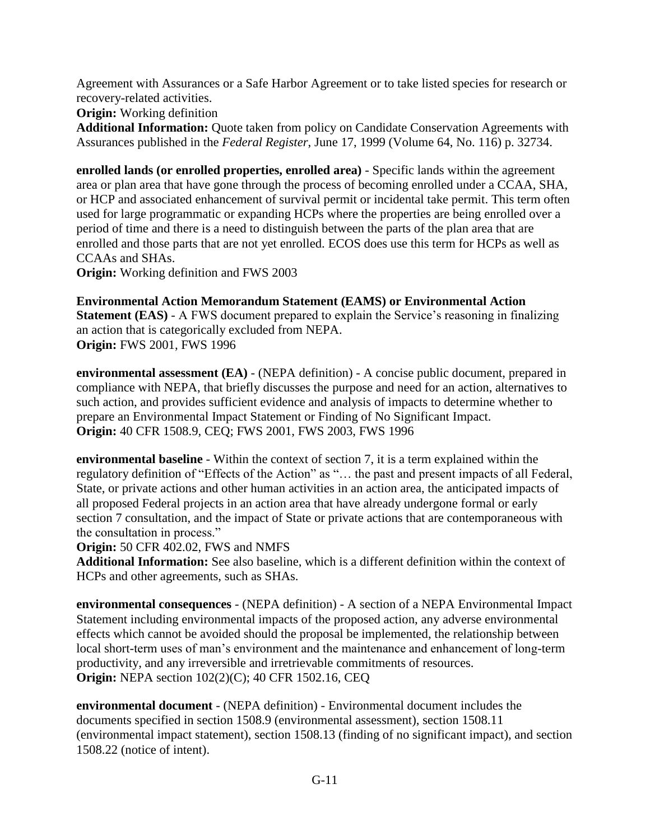Agreement with Assurances or a Safe Harbor Agreement or to take listed species for research or recovery-related activities.

**Origin:** Working definition

**Additional Information:** Quote taken from policy on Candidate Conservation Agreements with Assurances published in the *Federal Register*, June 17, 1999 (Volume 64, No. 116) p. 32734.

**enrolled lands (or enrolled properties, enrolled area)** - Specific lands within the agreement area or plan area that have gone through the process of becoming enrolled under a CCAA, SHA, or HCP and associated enhancement of survival permit or incidental take permit. This term often used for large programmatic or expanding HCPs where the properties are being enrolled over a period of time and there is a need to distinguish between the parts of the plan area that are enrolled and those parts that are not yet enrolled. ECOS does use this term for HCPs as well as CCAAs and SHAs.

**Origin:** Working definition and FWS 2003

**Environmental Action Memorandum Statement (EAMS) or Environmental Action Statement (EAS)** - A FWS document prepared to explain the Service's reasoning in finalizing an action that is categorically excluded from NEPA. **Origin:** FWS 2001, FWS 1996

**environmental assessment (EA)** - (NEPA definition) - A concise public document, prepared in compliance with NEPA, that briefly discusses the purpose and need for an action, alternatives to such action, and provides sufficient evidence and analysis of impacts to determine whether to prepare an Environmental Impact Statement or Finding of No Significant Impact. **Origin:** 40 CFR 1508.9, CEQ; FWS 2001, FWS 2003, FWS 1996

**environmental baseline** - Within the context of section 7, it is a term explained within the regulatory definition of "Effects of the Action" as "… the past and present impacts of all Federal, State, or private actions and other human activities in an action area, the anticipated impacts of all proposed Federal projects in an action area that have already undergone formal or early section 7 consultation, and the impact of State or private actions that are contemporaneous with the consultation in process."

**Origin:** 50 CFR 402.02, FWS and NMFS

**Additional Information:** See also baseline, which is a different definition within the context of HCPs and other agreements, such as SHAs.

**environmental consequences** - (NEPA definition) - A section of a NEPA Environmental Impact Statement including environmental impacts of the proposed action, any adverse environmental effects which cannot be avoided should the proposal be implemented, the relationship between local short-term uses of man's environment and the maintenance and enhancement of long-term productivity, and any irreversible and irretrievable commitments of resources. **Origin:** NEPA section 102(2)(C); 40 CFR 1502.16, CEQ

**environmental document** - (NEPA definition) - Environmental document includes the documents specified in section 1508.9 (environmental assessment), section 1508.11 (environmental impact statement), section 1508.13 (finding of no significant impact), and section 1508.22 (notice of intent).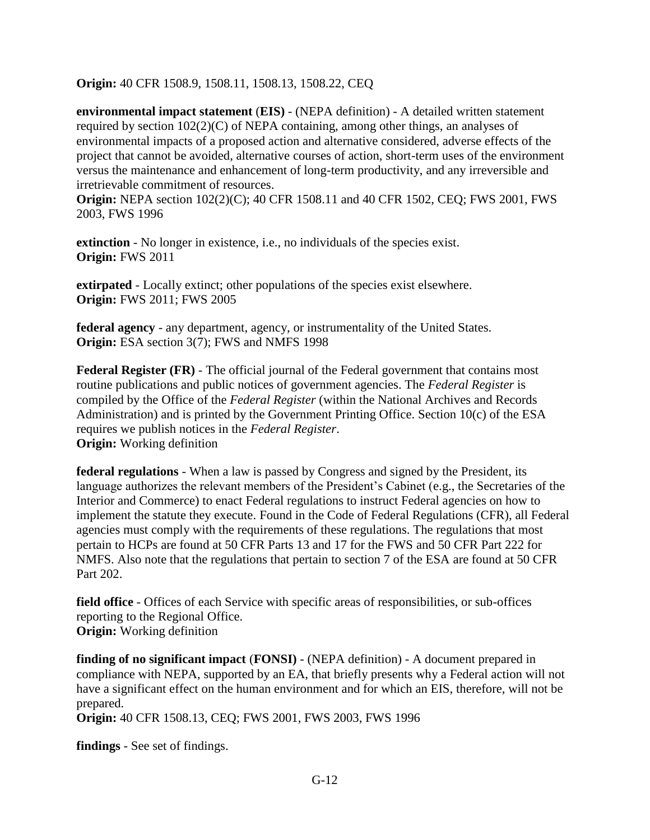**Origin:** 40 CFR 1508.9, 1508.11, 1508.13, 1508.22, CEQ

**environmental impact statement** (**EIS)** - (NEPA definition) - A detailed written statement required by section 102(2)(C) of NEPA containing, among other things, an analyses of environmental impacts of a proposed action and alternative considered, adverse effects of the project that cannot be avoided, alternative courses of action, short-term uses of the environment versus the maintenance and enhancement of long-term productivity, and any irreversible and irretrievable commitment of resources.

**Origin:** NEPA section 102(2)(C); 40 CFR 1508.11 and 40 CFR 1502, CEQ; FWS 2001, FWS 2003, FWS 1996

**extinction** - No longer in existence, i.e., no individuals of the species exist. **Origin:** FWS 2011

**extirpated** - Locally extinct; other populations of the species exist elsewhere. **Origin:** FWS 2011; FWS 2005

**federal agency** - any department, agency, or instrumentality of the United States. **Origin:** ESA section 3(7); FWS and NMFS 1998

**Federal Register (FR)** - The official journal of the Federal government that contains most routine publications and public notices of government agencies. The *Federal Register* is compiled by the Office of the *Federal Register* (within the National Archives and Records Administration) and is printed by the Government Printing Office. Section 10(c) of the ESA requires we publish notices in the *Federal Register*. **Origin:** Working definition

**federal regulations** - When a law is passed by Congress and signed by the President, its language authorizes the relevant members of the President's Cabinet (e.g., the Secretaries of the Interior and Commerce) to enact Federal regulations to instruct Federal agencies on how to implement the statute they execute. Found in the Code of Federal Regulations (CFR), all Federal agencies must comply with the requirements of these regulations. The regulations that most pertain to HCPs are found at 50 CFR Parts 13 and 17 for the FWS and 50 CFR Part 222 for NMFS. Also note that the regulations that pertain to section 7 of the ESA are found at 50 CFR Part 202.

**field office** - Offices of each Service with specific areas of responsibilities, or sub-offices reporting to the Regional Office. **Origin:** Working definition

**finding of no significant impact** (**FONSI)** - (NEPA definition) - A document prepared in compliance with NEPA, supported by an EA, that briefly presents why a Federal action will not have a significant effect on the human environment and for which an EIS, therefore, will not be prepared.

**Origin:** 40 CFR 1508.13, CEQ; FWS 2001, FWS 2003, FWS 1996

**findings** - See set of findings.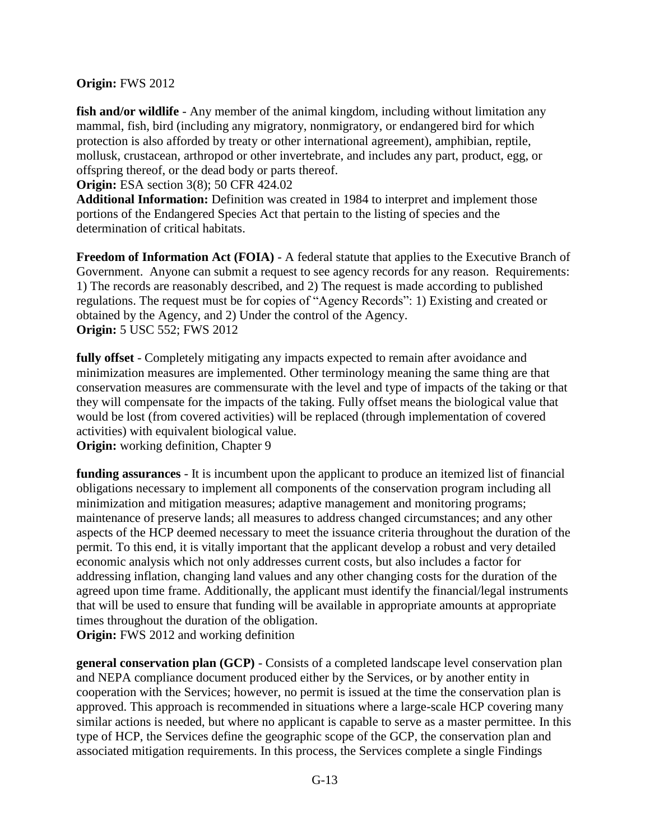# **Origin:** FWS 2012

fish and/or wildlife - Any member of the animal kingdom, including without limitation any mammal, fish, bird (including any migratory, nonmigratory, or endangered bird for which protection is also afforded by treaty or other international agreement), amphibian, reptile, mollusk, crustacean, arthropod or other invertebrate, and includes any part, product, egg, or offspring thereof, or the dead body or parts thereof.

**Origin:** ESA section 3(8); 50 CFR 424.02

**Additional Information:** Definition was created in 1984 to interpret and implement those portions of the Endangered Species Act that pertain to the listing of species and the determination of critical habitats.

**Freedom of Information Act (FOIA) - A federal statute that applies to the Executive Branch of** Government. Anyone can submit a request to see agency records for any reason. Requirements: 1) The records are reasonably described, and 2) The request is made according to published regulations. The request must be for copies of "Agency Records": 1) Existing and created or obtained by the Agency, and 2) Under the control of the Agency. **Origin:** 5 USC 552; FWS 2012

**fully offset** - Completely mitigating any impacts expected to remain after avoidance and minimization measures are implemented. Other terminology meaning the same thing are that conservation measures are commensurate with the level and type of impacts of the taking or that they will compensate for the impacts of the taking. Fully offset means the biological value that would be lost (from covered activities) will be replaced (through implementation of covered activities) with equivalent biological value.

**Origin:** working definition, Chapter 9

**funding assurances** - It is incumbent upon the applicant to produce an itemized list of financial obligations necessary to implement all components of the conservation program including all minimization and mitigation measures; adaptive management and monitoring programs; maintenance of preserve lands; all measures to address changed circumstances; and any other aspects of the HCP deemed necessary to meet the issuance criteria throughout the duration of the permit. To this end, it is vitally important that the applicant develop a robust and very detailed economic analysis which not only addresses current costs, but also includes a factor for addressing inflation, changing land values and any other changing costs for the duration of the agreed upon time frame. Additionally, the applicant must identify the financial/legal instruments that will be used to ensure that funding will be available in appropriate amounts at appropriate times throughout the duration of the obligation.

**Origin:** FWS 2012 and working definition

**general conservation plan (GCP)** - Consists of a completed landscape level conservation plan and NEPA compliance document produced either by the Services, or by another entity in cooperation with the Services; however, no permit is issued at the time the conservation plan is approved. This approach is recommended in situations where a large-scale HCP covering many similar actions is needed, but where no applicant is capable to serve as a master permittee. In this type of HCP, the Services define the geographic scope of the GCP, the conservation plan and associated mitigation requirements. In this process, the Services complete a single Findings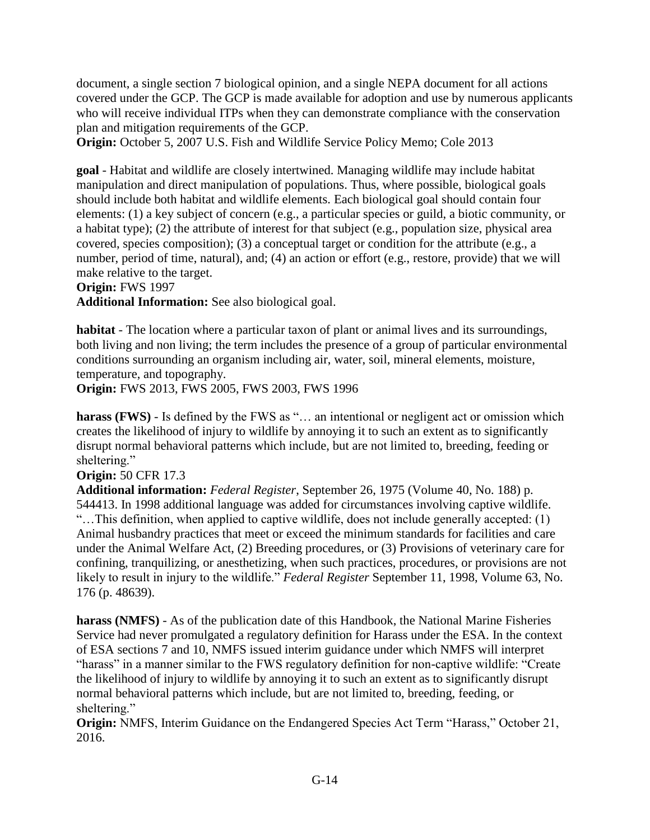document, a single section 7 biological opinion, and a single NEPA document for all actions covered under the GCP. The GCP is made available for adoption and use by numerous applicants who will receive individual ITPs when they can demonstrate compliance with the conservation plan and mitigation requirements of the GCP.

**Origin:** October 5, 2007 U.S. Fish and Wildlife Service Policy Memo; Cole 2013

**goal** - Habitat and wildlife are closely intertwined. Managing wildlife may include habitat manipulation and direct manipulation of populations. Thus, where possible, biological goals should include both habitat and wildlife elements. Each biological goal should contain four elements: (1) a key subject of concern (e.g., a particular species or guild, a biotic community, or a habitat type); (2) the attribute of interest for that subject (e.g., population size, physical area covered, species composition); (3) a conceptual target or condition for the attribute (e.g., a number, period of time, natural), and; (4) an action or effort (e.g., restore, provide) that we will make relative to the target.

**Origin:** FWS 1997

**Additional Information:** See also biological goal.

**habitat** - The location where a particular taxon of plant or animal lives and its surroundings, both living and non living; the term includes the presence of a group of particular environmental conditions surrounding an organism including air, water, soil, mineral elements, moisture, temperature, and topography.

**Origin:** FWS 2013, FWS 2005, FWS 2003, FWS 1996

harass (**FWS**) - Is defined by the FWS as "... an intentional or negligent act or omission which creates the likelihood of injury to wildlife by annoying it to such an extent as to significantly disrupt normal behavioral patterns which include, but are not limited to, breeding, feeding or sheltering."

**Origin:** 50 CFR 17.3

**Additional information:** *Federal Register*, September 26, 1975 (Volume 40, No. 188) p. 544413. In 1998 additional language was added for circumstances involving captive wildlife. "…This definition, when applied to captive wildlife, does not include generally accepted: (1) Animal husbandry practices that meet or exceed the minimum standards for facilities and care under the Animal Welfare Act, (2) Breeding procedures, or (3) Provisions of veterinary care for confining, tranquilizing, or anesthetizing, when such practices, procedures, or provisions are not likely to result in injury to the wildlife." *Federal Register* September 11, 1998, Volume 63, No. 176 (p. 48639).

**harass (NMFS)** - As of the publication date of this Handbook, the National Marine Fisheries Service had never promulgated a regulatory definition for Harass under the ESA. In the context of ESA sections 7 and 10, NMFS issued interim guidance under which NMFS will interpret "harass" in a manner similar to the FWS regulatory definition for non-captive wildlife: "Create the likelihood of injury to wildlife by annoying it to such an extent as to significantly disrupt normal behavioral patterns which include, but are not limited to, breeding, feeding, or sheltering."

**Origin:** NMFS, Interim Guidance on the Endangered Species Act Term "Harass," October 21, 2016.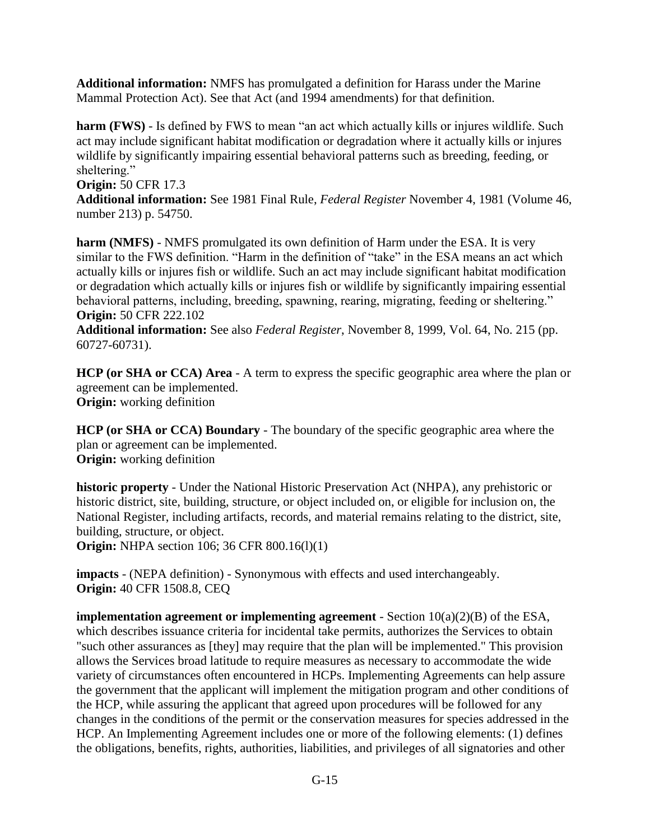**Additional information:** NMFS has promulgated a definition for Harass under the Marine Mammal Protection Act). See that Act (and 1994 amendments) for that definition.

**harm (FWS)** - Is defined by FWS to mean "an act which actually kills or injures wildlife. Such act may include significant habitat modification or degradation where it actually kills or injures wildlife by significantly impairing essential behavioral patterns such as breeding, feeding, or sheltering."

# **Origin:** 50 CFR 17.3

**Additional information:** See 1981 Final Rule, *Federal Register* November 4, 1981 (Volume 46, number 213) p. 54750.

**harm (NMFS)** - NMFS promulgated its own definition of Harm under the ESA. It is very similar to the FWS definition. "Harm in the definition of "take" in the ESA means an act which actually kills or injures fish or wildlife. Such an act may include significant habitat modification or degradation which actually kills or injures fish or wildlife by significantly impairing essential behavioral patterns, including, breeding, spawning, rearing, migrating, feeding or sheltering." **Origin:** 50 CFR 222.102

**Additional information:** See also *Federal Register*, November 8, 1999, Vol. 64, No. 215 (pp. 60727-60731).

**HCP (or SHA or CCA) Area** - A term to express the specific geographic area where the plan or agreement can be implemented. **Origin:** working definition

**HCP (or SHA or CCA) Boundary** - The boundary of the specific geographic area where the plan or agreement can be implemented. **Origin:** working definition

**historic property** - Under the National Historic Preservation Act (NHPA), any prehistoric or historic district, site, building, structure, or object included on, or eligible for inclusion on, the National Register, including artifacts, records, and material remains relating to the district, site, building, structure, or object.

**Origin:** NHPA section 106; 36 CFR 800.16(1)(1)

**impacts** - (NEPA definition) - Synonymous with effects and used interchangeably. **Origin:** 40 CFR 1508.8, CEQ

**implementation agreement or implementing agreement** - Section 10(a)(2)(B) of the ESA, which describes issuance criteria for incidental take permits, authorizes the Services to obtain "such other assurances as [they] may require that the plan will be implemented." This provision allows the Services broad latitude to require measures as necessary to accommodate the wide variety of circumstances often encountered in HCPs. Implementing Agreements can help assure the government that the applicant will implement the mitigation program and other conditions of the HCP, while assuring the applicant that agreed upon procedures will be followed for any changes in the conditions of the permit or the conservation measures for species addressed in the HCP. An Implementing Agreement includes one or more of the following elements: (1) defines the obligations, benefits, rights, authorities, liabilities, and privileges of all signatories and other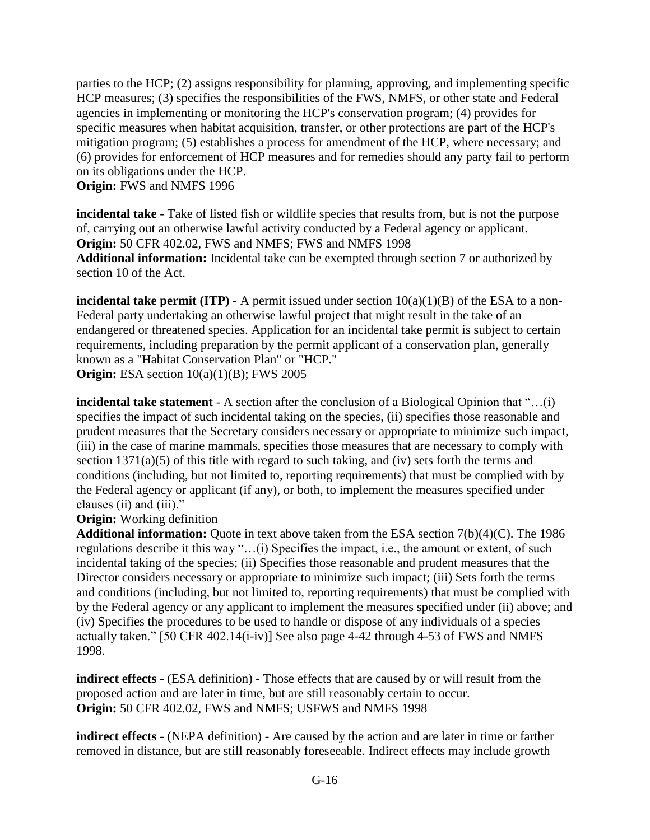parties to the HCP; (2) assigns responsibility for planning, approving, and implementing specific HCP measures; (3) specifies the responsibilities of the FWS, NMFS, or other state and Federal agencies in implementing or monitoring the HCP's conservation program; (4) provides for specific measures when habitat acquisition, transfer, or other protections are part of the HCP's mitigation program; (5) establishes a process for amendment of the HCP, where necessary; and (6) provides for enforcement of HCP measures and for remedies should any party fail to perform on its obligations under the HCP.

**Origin:** FWS and NMFS 1996

**incidental take** - Take of listed fish or wildlife species that results from, but is not the purpose of, carrying out an otherwise lawful activity conducted by a Federal agency or applicant. **Origin:** 50 CFR 402.02, FWS and NMFS; FWS and NMFS 1998 **Additional information:** Incidental take can be exempted through section 7 or authorized by section 10 of the Act.

**incidental take permit (ITP)** - A permit issued under section  $10(a)(1)(B)$  of the ESA to a non-Federal party undertaking an otherwise lawful project that might result in the take of an endangered or threatened species. Application for an incidental take permit is subject to certain requirements, including preparation by the permit applicant of a conservation plan, generally known as a "Habitat Conservation Plan" or "HCP." **Origin:** ESA section  $10(a)(1)(B)$ ; FWS 2005

**incidental take statement** - A section after the conclusion of a Biological Opinion that "...(i) specifies the impact of such incidental taking on the species, (ii) specifies those reasonable and prudent measures that the Secretary considers necessary or appropriate to minimize such impact, (iii) in the case of marine mammals, specifies those measures that are necessary to comply with section 1371(a)(5) of this title with regard to such taking, and (iv) sets forth the terms and conditions (including, but not limited to, reporting requirements) that must be complied with by the Federal agency or applicant (if any), or both, to implement the measures specified under clauses (ii) and (iii)."

### **Origin:** Working definition

**Additional information:** Quote in text above taken from the ESA section 7(b)(4)(C). The 1986 regulations describe it this way "…(i) Specifies the impact, i.e., the amount or extent, of such incidental taking of the species; (ii) Specifies those reasonable and prudent measures that the Director considers necessary or appropriate to minimize such impact; (iii) Sets forth the terms and conditions (including, but not limited to, reporting requirements) that must be complied with by the Federal agency or any applicant to implement the measures specified under (ii) above; and (iv) Specifies the procedures to be used to handle or dispose of any individuals of a species actually taken." [50 CFR 402.14(i-iv)] See also page 4-42 through 4-53 of FWS and NMFS 1998.

**indirect effects** - (ESA definition) - Those effects that are caused by or will result from the proposed action and are later in time, but are still reasonably certain to occur. **Origin:** 50 CFR 402.02, FWS and NMFS; USFWS and NMFS 1998

**indirect effects** - (NEPA definition) - Are caused by the action and are later in time or farther removed in distance, but are still reasonably foreseeable. Indirect effects may include growth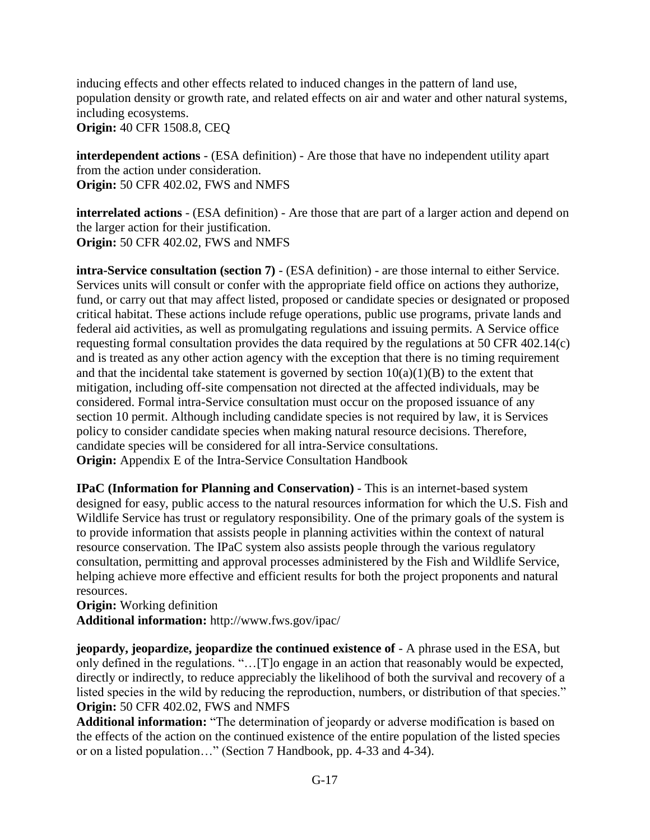inducing effects and other effects related to induced changes in the pattern of land use, population density or growth rate, and related effects on air and water and other natural systems, including ecosystems. **Origin:** 40 CFR 1508.8, CEQ

**interdependent actions** - (ESA definition) - Are those that have no independent utility apart from the action under consideration. **Origin:** 50 CFR 402.02, FWS and NMFS

**interrelated actions** - (ESA definition) - Are those that are part of a larger action and depend on the larger action for their justification. **Origin:** 50 CFR 402.02, FWS and NMFS

**intra-Service consultation (section 7)** - (ESA definition) - are those internal to either Service. Services units will consult or confer with the appropriate field office on actions they authorize, fund, or carry out that may affect listed, proposed or candidate species or designated or proposed critical habitat. These actions include refuge operations, public use programs, private lands and federal aid activities, as well as promulgating regulations and issuing permits. A Service office requesting formal consultation provides the data required by the regulations at 50 CFR 402.14(c) and is treated as any other action agency with the exception that there is no timing requirement and that the incidental take statement is governed by section  $10(a)(1)(B)$  to the extent that mitigation, including off-site compensation not directed at the affected individuals, may be considered. Formal intra-Service consultation must occur on the proposed issuance of any section 10 permit. Although including candidate species is not required by law, it is Services policy to consider candidate species when making natural resource decisions. Therefore, candidate species will be considered for all intra-Service consultations. **Origin:** Appendix E of the Intra-Service Consultation Handbook

**IPaC (Information for Planning and Conservation)** - This is an internet-based system designed for easy, public access to the natural resources information for which the U.S. Fish and Wildlife Service has trust or regulatory responsibility. One of the primary goals of the system is to provide information that assists people in planning activities within the context of natural resource conservation. The IPaC system also assists people through the various regulatory consultation, permitting and approval processes administered by the Fish and Wildlife Service, helping achieve more effective and efficient results for both the project proponents and natural resources.

**Origin:** Working definition **Additional information:** http://www.fws.gov/ipac/

**jeopardy, jeopardize, jeopardize the continued existence of** - A phrase used in the ESA, but only defined in the regulations. "…[T]o engage in an action that reasonably would be expected, directly or indirectly, to reduce appreciably the likelihood of both the survival and recovery of a listed species in the wild by reducing the reproduction, numbers, or distribution of that species." **Origin:** 50 CFR 402.02, FWS and NMFS

**Additional information:** "The determination of jeopardy or adverse modification is based on the effects of the action on the continued existence of the entire population of the listed species or on a listed population…" (Section 7 Handbook, pp. 4-33 and 4-34).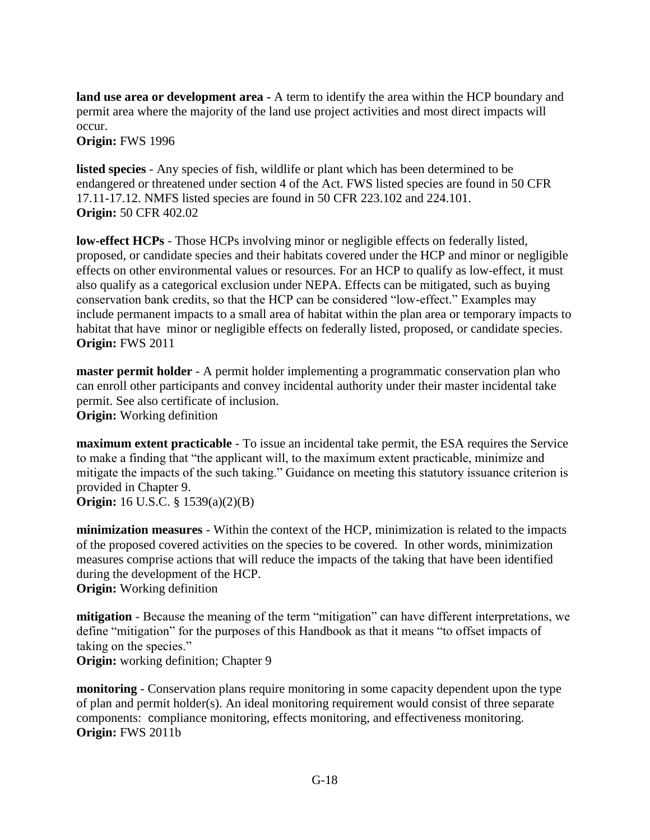**land use area or development area -** A term to identify the area within the HCP boundary and permit area where the majority of the land use project activities and most direct impacts will occur.

**Origin:** FWS 1996

**listed species** - Any species of fish, wildlife or plant which has been determined to be endangered or threatened under section 4 of the Act. FWS listed species are found in 50 CFR 17.11-17.12. NMFS listed species are found in 50 CFR 223.102 and 224.101. **Origin:** 50 CFR 402.02

**low-effect HCPs** - Those HCPs involving minor or negligible effects on federally listed, proposed, or candidate species and their habitats covered under the HCP and minor or negligible effects on other environmental values or resources. For an HCP to qualify as low-effect, it must also qualify as a categorical exclusion under NEPA. Effects can be mitigated, such as buying conservation bank credits, so that the HCP can be considered "low-effect." Examples may include permanent impacts to a small area of habitat within the plan area or temporary impacts to habitat that have minor or negligible effects on federally listed, proposed, or candidate species. **Origin:** FWS 2011

**master permit holder** - A permit holder implementing a programmatic conservation plan who can enroll other participants and convey incidental authority under their master incidental take permit. See also certificate of inclusion. **Origin:** Working definition

**maximum extent practicable** - To issue an incidental take permit, the ESA requires the Service to make a finding that "the applicant will, to the maximum extent practicable, minimize and mitigate the impacts of the such taking." Guidance on meeting this statutory issuance criterion is provided in Chapter 9.

**Origin:** 16 U.S.C. § 1539(a)(2)(B)

**minimization measures** - Within the context of the HCP, minimization is related to the impacts of the proposed covered activities on the species to be covered. In other words, minimization measures comprise actions that will reduce the impacts of the taking that have been identified during the development of the HCP. **Origin:** Working definition

**mitigation** - Because the meaning of the term "mitigation" can have different interpretations, we define "mitigation" for the purposes of this Handbook as that it means "to offset impacts of taking on the species."

**Origin:** working definition; Chapter 9

**monitoring** - Conservation plans require monitoring in some capacity dependent upon the type of plan and permit holder(s). An ideal monitoring requirement would consist of three separate components: compliance monitoring, effects monitoring, and effectiveness monitoring. **Origin:** FWS 2011b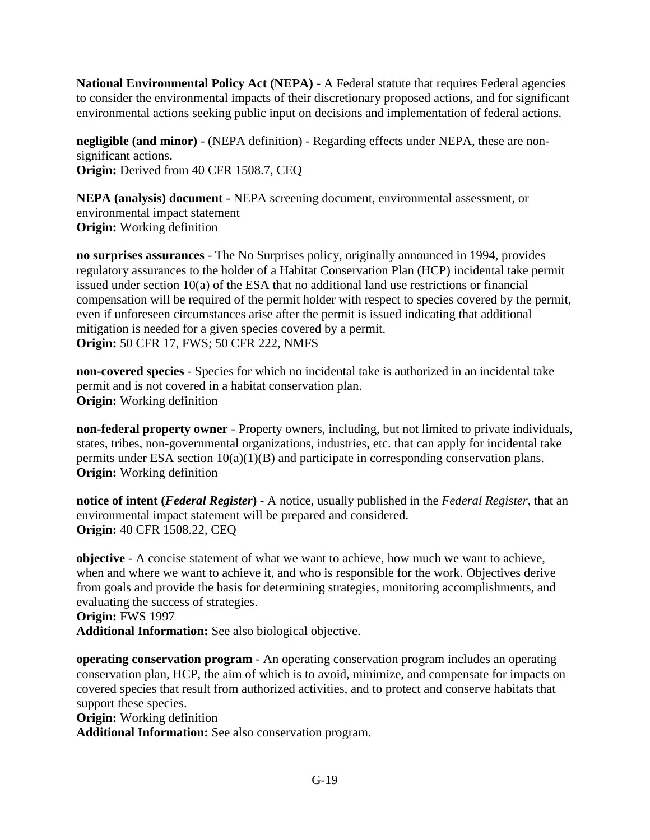**National Environmental Policy Act (NEPA)** - A Federal statute that requires Federal agencies to consider the environmental impacts of their discretionary proposed actions, and for significant environmental actions seeking public input on decisions and implementation of federal actions.

**negligible (and minor)** - (NEPA definition) - Regarding effects under NEPA, these are nonsignificant actions. **Origin:** Derived from 40 CFR 1508.7, CEQ

**NEPA (analysis) document** - NEPA screening document, environmental assessment, or environmental impact statement **Origin:** Working definition

**no surprises assurances** - The No Surprises policy, originally announced in 1994, provides regulatory assurances to the holder of a Habitat Conservation Plan (HCP) incidental take permit issued under section 10(a) of the ESA that no additional land use restrictions or financial compensation will be required of the permit holder with respect to species covered by the permit, even if unforeseen circumstances arise after the permit is issued indicating that additional mitigation is needed for a given species covered by a permit. **Origin:** 50 CFR 17, FWS; 50 CFR 222, NMFS

**non-covered species** - Species for which no incidental take is authorized in an incidental take permit and is not covered in a habitat conservation plan. **Origin:** Working definition

**non-federal property owner** - Property owners, including, but not limited to private individuals, states, tribes, non-governmental organizations, industries, etc. that can apply for incidental take permits under ESA section 10(a)(1)(B) and participate in corresponding conservation plans. **Origin:** Working definition

**notice of intent (***Federal Register***)** - A notice, usually published in the *Federal Register*, that an environmental impact statement will be prepared and considered. **Origin:** 40 CFR 1508.22, CEQ

**objective** - A concise statement of what we want to achieve, how much we want to achieve, when and where we want to achieve it, and who is responsible for the work. Objectives derive from goals and provide the basis for determining strategies, monitoring accomplishments, and evaluating the success of strategies.

**Origin:** FWS 1997 **Additional Information:** See also biological objective.

**operating conservation program** - An operating conservation program includes an operating conservation plan, HCP, the aim of which is to avoid, minimize, and compensate for impacts on covered species that result from authorized activities, and to protect and conserve habitats that support these species.

**Origin:** Working definition

**Additional Information:** See also conservation program.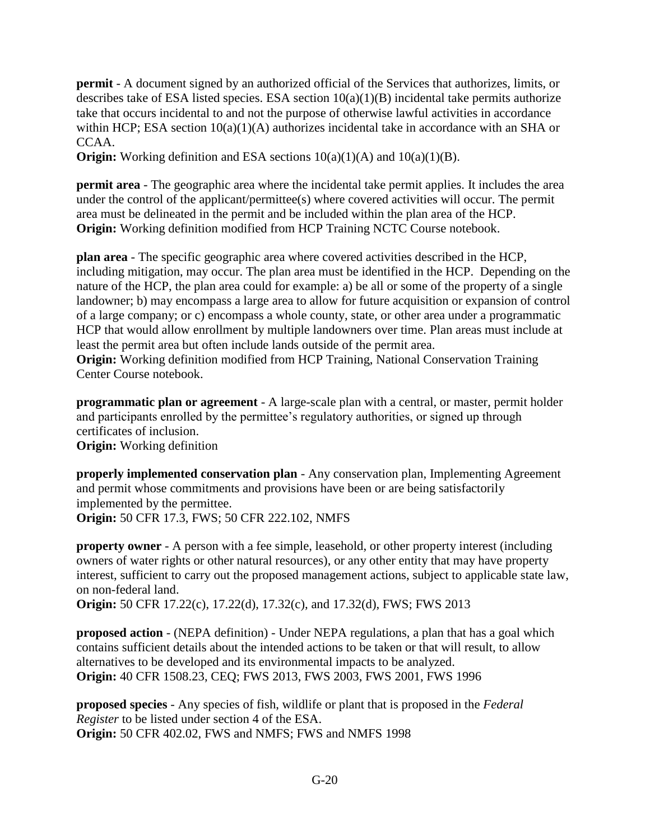**permit** - A document signed by an authorized official of the Services that authorizes, limits, or describes take of ESA listed species. ESA section  $10(a)(1)(B)$  incidental take permits authorize take that occurs incidental to and not the purpose of otherwise lawful activities in accordance within HCP; ESA section  $10(a)(1)(A)$  authorizes incidental take in accordance with an SHA or CCAA.

**Origin:** Working definition and ESA sections  $10(a)(1)(A)$  and  $10(a)(1)(B)$ .

**permit area** - The geographic area where the incidental take permit applies. It includes the area under the control of the applicant/permittee(s) where covered activities will occur. The permit area must be delineated in the permit and be included within the plan area of the HCP. **Origin:** Working definition modified from HCP Training NCTC Course notebook.

**plan area** - The specific geographic area where covered activities described in the HCP, including mitigation, may occur. The plan area must be identified in the HCP. Depending on the nature of the HCP, the plan area could for example: a) be all or some of the property of a single landowner; b) may encompass a large area to allow for future acquisition or expansion of control of a large company; or c) encompass a whole county, state, or other area under a programmatic HCP that would allow enrollment by multiple landowners over time. Plan areas must include at least the permit area but often include lands outside of the permit area.

**Origin:** Working definition modified from HCP Training, National Conservation Training Center Course notebook.

**programmatic plan or agreement** - A large-scale plan with a central, or master, permit holder and participants enrolled by the permittee's regulatory authorities, or signed up through certificates of inclusion.

**Origin:** Working definition

**properly implemented conservation plan** - Any conservation plan, Implementing Agreement and permit whose commitments and provisions have been or are being satisfactorily implemented by the permittee. **Origin:** 50 CFR 17.3, FWS; 50 CFR 222.102, NMFS

**property owner** - A person with a fee simple, leasehold, or other property interest (including owners of water rights or other natural resources), or any other entity that may have property interest, sufficient to carry out the proposed management actions, subject to applicable state law, on non-federal land.

**Origin:** 50 CFR 17.22(c), 17.22(d), 17.32(c), and 17.32(d), FWS; FWS 2013

**proposed action** - (NEPA definition) - Under NEPA regulations, a plan that has a goal which contains sufficient details about the intended actions to be taken or that will result, to allow alternatives to be developed and its environmental impacts to be analyzed. **Origin:** 40 CFR 1508.23, CEQ; FWS 2013, FWS 2003, FWS 2001, FWS 1996

**proposed species** - Any species of fish, wildlife or plant that is proposed in the *Federal Register* to be listed under section 4 of the ESA. **Origin:** 50 CFR 402.02, FWS and NMFS; FWS and NMFS 1998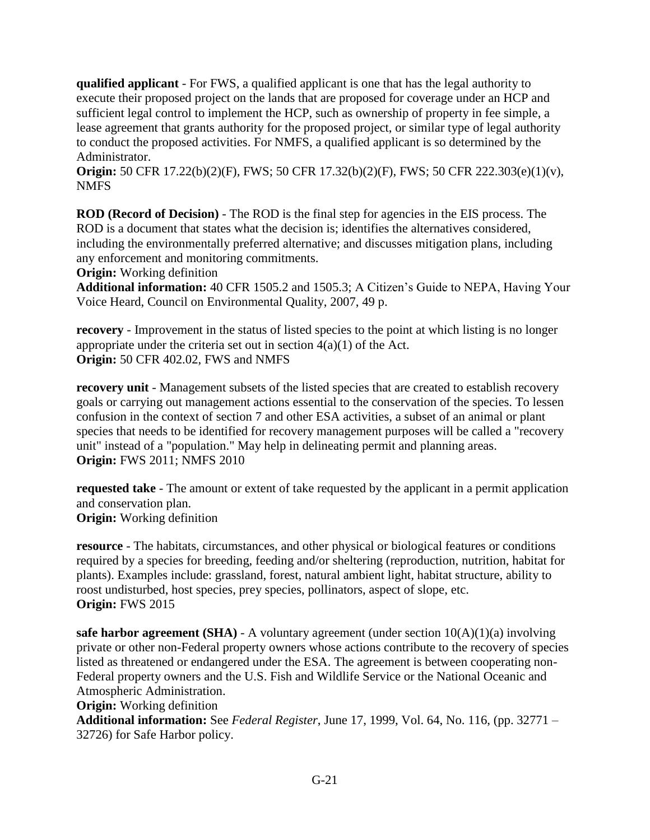**qualified applicant** - For FWS, a qualified applicant is one that has the legal authority to execute their proposed project on the lands that are proposed for coverage under an HCP and sufficient legal control to implement the HCP, such as ownership of property in fee simple, a lease agreement that grants authority for the proposed project, or similar type of legal authority to conduct the proposed activities. For NMFS, a qualified applicant is so determined by the Administrator.

**Origin:** 50 CFR 17.22(b)(2)(F), FWS; 50 CFR 17.32(b)(2)(F), FWS; 50 CFR 222.303(e)(1)(v), NMFS

**ROD (Record of Decision)** - The ROD is the final step for agencies in the EIS process. The ROD is a document that states what the decision is; identifies the alternatives considered, including the environmentally preferred alternative; and discusses mitigation plans, including any enforcement and monitoring commitments.

**Origin:** Working definition

**Additional information:** 40 CFR 1505.2 and 1505.3; A Citizen's Guide to NEPA, Having Your Voice Heard, Council on Environmental Quality, 2007, 49 p.

**recovery** - Improvement in the status of listed species to the point at which listing is no longer appropriate under the criteria set out in section  $4(a)(1)$  of the Act. **Origin:** 50 CFR 402.02, FWS and NMFS

**recovery unit** - Management subsets of the listed species that are created to establish recovery goals or carrying out management actions essential to the conservation of the species. To lessen confusion in the context of section 7 and other ESA activities, a subset of an animal or plant species that needs to be identified for recovery management purposes will be called a "recovery unit" instead of a "population." May help in delineating permit and planning areas. **Origin:** FWS 2011; NMFS 2010

**requested take** - The amount or extent of take requested by the applicant in a permit application and conservation plan. **Origin:** Working definition

**resource** - The habitats, circumstances, and other physical or biological features or conditions required by a species for breeding, feeding and/or sheltering (reproduction, nutrition, habitat for plants). Examples include: grassland, forest, natural ambient light, habitat structure, ability to roost undisturbed, host species, prey species, pollinators, aspect of slope, etc. **Origin:** FWS 2015

**safe harbor agreement (SHA)** - A voluntary agreement (under section  $10(A)(1)(a)$  involving private or other non-Federal property owners whose actions contribute to the recovery of species listed as threatened or endangered under the ESA. The agreement is between cooperating non-Federal property owners and the U.S. Fish and Wildlife Service or the National Oceanic and Atmospheric Administration.

**Origin:** Working definition

**Additional information:** See *Federal Register*, June 17, 1999, Vol. 64, No. 116, (pp. 32771 – 32726) for Safe Harbor policy.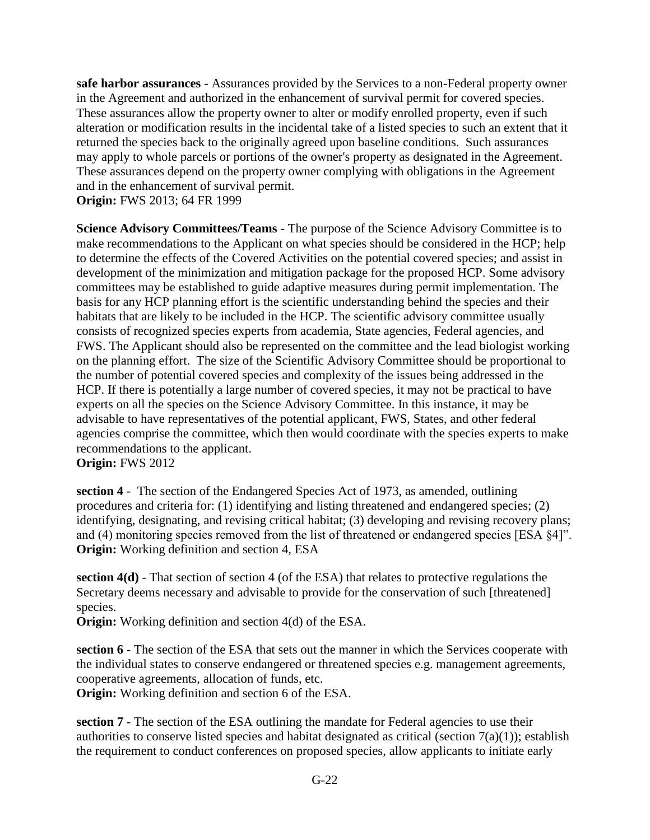**safe harbor assurances** - Assurances provided by the Services to a non-Federal property owner in the Agreement and authorized in the enhancement of survival permit for covered species. These assurances allow the property owner to alter or modify enrolled property, even if such alteration or modification results in the incidental take of a listed species to such an extent that it returned the species back to the originally agreed upon baseline conditions. Such assurances may apply to whole parcels or portions of the owner's property as designated in the Agreement. These assurances depend on the property owner complying with obligations in the Agreement and in the enhancement of survival permit.

**Origin:** FWS 2013; 64 FR 1999

**Science Advisory Committees/Teams** - The purpose of the Science Advisory Committee is to make recommendations to the Applicant on what species should be considered in the HCP; help to determine the effects of the Covered Activities on the potential covered species; and assist in development of the minimization and mitigation package for the proposed HCP. Some advisory committees may be established to guide adaptive measures during permit implementation. The basis for any HCP planning effort is the scientific understanding behind the species and their habitats that are likely to be included in the HCP. The scientific advisory committee usually consists of recognized species experts from academia, State agencies, Federal agencies, and FWS. The Applicant should also be represented on the committee and the lead biologist working on the planning effort. The size of the Scientific Advisory Committee should be proportional to the number of potential covered species and complexity of the issues being addressed in the HCP. If there is potentially a large number of covered species, it may not be practical to have experts on all the species on the Science Advisory Committee. In this instance, it may be advisable to have representatives of the potential applicant, FWS, States, and other federal agencies comprise the committee, which then would coordinate with the species experts to make recommendations to the applicant.

**Origin:** FWS 2012

**section 4** - The section of the Endangered Species Act of 1973, as amended, outlining procedures and criteria for: (1) identifying and listing threatened and endangered species; (2) identifying, designating, and revising critical habitat; (3) developing and revising recovery plans; and (4) monitoring species removed from the list of threatened or endangered species [ESA §4]". **Origin:** Working definition and section 4, ESA

**section 4(d)** - That section of section 4 (of the ESA) that relates to protective regulations the Secretary deems necessary and advisable to provide for the conservation of such [threatened] species.

**Origin:** Working definition and section 4(d) of the ESA.

**section 6** - The section of the ESA that sets out the manner in which the Services cooperate with the individual states to conserve endangered or threatened species e.g. management agreements, cooperative agreements, allocation of funds, etc.

**Origin:** Working definition and section 6 of the ESA.

**section 7** - The section of the ESA outlining the mandate for Federal agencies to use their authorities to conserve listed species and habitat designated as critical (section 7(a)(1)); establish the requirement to conduct conferences on proposed species, allow applicants to initiate early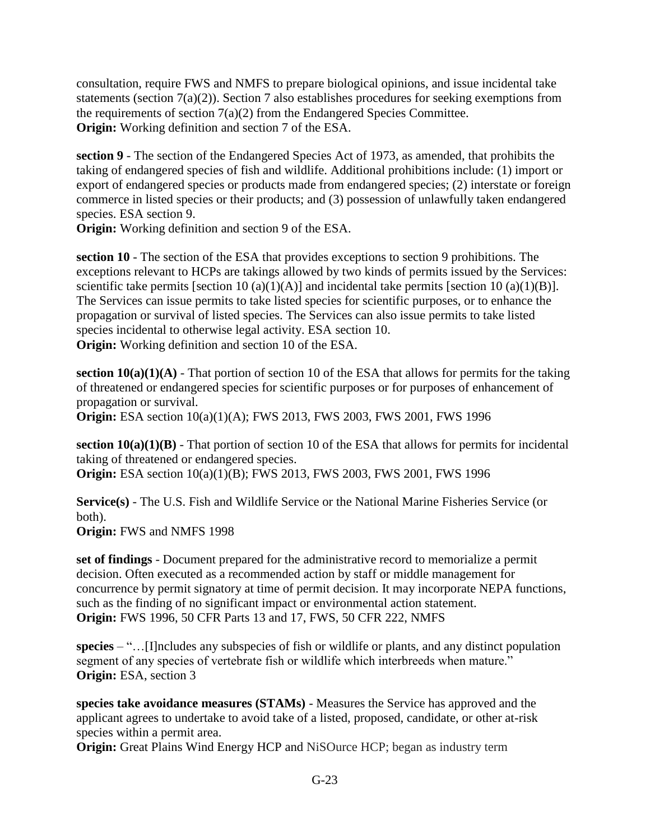consultation, require FWS and NMFS to prepare biological opinions, and issue incidental take statements (section  $7(a)(2)$ ). Section 7 also establishes procedures for seeking exemptions from the requirements of section  $7(a)(2)$  from the Endangered Species Committee. **Origin:** Working definition and section 7 of the ESA.

**section 9** - The section of the Endangered Species Act of 1973, as amended, that prohibits the taking of endangered species of fish and wildlife. Additional prohibitions include: (1) import or export of endangered species or products made from endangered species; (2) interstate or foreign commerce in listed species or their products; and (3) possession of unlawfully taken endangered species. ESA section 9.

**Origin:** Working definition and section 9 of the ESA.

**section 10** - The section of the ESA that provides exceptions to section 9 prohibitions. The exceptions relevant to HCPs are takings allowed by two kinds of permits issued by the Services: scientific take permits [section 10 (a)(1)(A)] and incidental take permits [section 10 (a)(1)(B)]. The Services can issue permits to take listed species for scientific purposes, or to enhance the propagation or survival of listed species. The Services can also issue permits to take listed species incidental to otherwise legal activity. ESA section 10. **Origin:** Working definition and section 10 of the ESA.

**section 10(a)(1)(A)** - That portion of section 10 of the ESA that allows for permits for the taking of threatened or endangered species for scientific purposes or for purposes of enhancement of propagation or survival.

**Origin:** ESA section  $10(a)(1)(A)$ ; FWS 2013, FWS 2003, FWS 2001, FWS 1996

**section 10(a)(1)(B)** - That portion of section 10 of the ESA that allows for permits for incidental taking of threatened or endangered species. **Origin:** ESA section 10(a)(1)(B); FWS 2013, FWS 2003, FWS 2001, FWS 1996

**Service(s)** - The U.S. Fish and Wildlife Service or the National Marine Fisheries Service (or both).

**Origin:** FWS and NMFS 1998

**set of findings** - Document prepared for the administrative record to memorialize a permit decision. Often executed as a recommended action by staff or middle management for concurrence by permit signatory at time of permit decision. It may incorporate NEPA functions, such as the finding of no significant impact or environmental action statement. **Origin:** FWS 1996, 50 CFR Parts 13 and 17, FWS, 50 CFR 222, NMFS

**species** – "…[I]ncludes any subspecies of fish or wildlife or plants, and any distinct population segment of any species of vertebrate fish or wildlife which interbreeds when mature." **Origin:** ESA, section 3

**species take avoidance measures (STAMs)** - Measures the Service has approved and the applicant agrees to undertake to avoid take of a listed, proposed, candidate, or other at-risk species within a permit area.

**Origin:** Great Plains Wind Energy HCP and NiSOurce HCP; began as industry term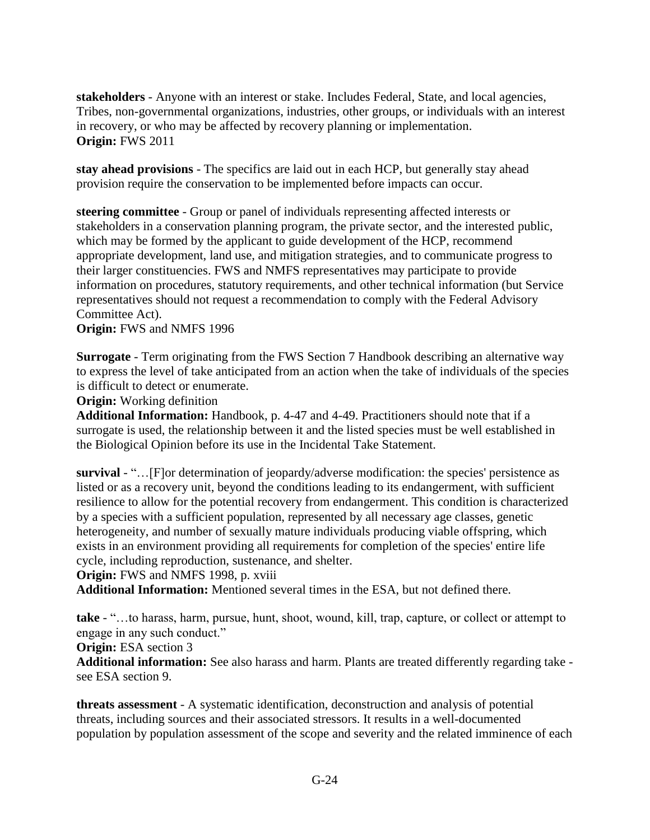**stakeholders** - Anyone with an interest or stake. Includes Federal, State, and local agencies, Tribes, non-governmental organizations, industries, other groups, or individuals with an interest in recovery, or who may be affected by recovery planning or implementation. **Origin:** FWS 2011

**stay ahead provisions** - The specifics are laid out in each HCP, but generally stay ahead provision require the conservation to be implemented before impacts can occur.

**steering committee** - Group or panel of individuals representing affected interests or stakeholders in a conservation planning program, the private sector, and the interested public, which may be formed by the applicant to guide development of the HCP, recommend appropriate development, land use, and mitigation strategies, and to communicate progress to their larger constituencies. FWS and NMFS representatives may participate to provide information on procedures, statutory requirements, and other technical information (but Service representatives should not request a recommendation to comply with the Federal Advisory Committee Act).

### **Origin:** FWS and NMFS 1996

**Surrogate** - Term originating from the FWS Section 7 Handbook describing an alternative way to express the level of take anticipated from an action when the take of individuals of the species is difficult to detect or enumerate.

**Origin:** Working definition

**Additional Information:** Handbook, p. 4-47 and 4-49. Practitioners should note that if a surrogate is used, the relationship between it and the listed species must be well established in the Biological Opinion before its use in the Incidental Take Statement.

**survival** - "…[F]or determination of jeopardy/adverse modification: the species' persistence as listed or as a recovery unit, beyond the conditions leading to its endangerment, with sufficient resilience to allow for the potential recovery from endangerment. This condition is characterized by a species with a sufficient population, represented by all necessary age classes, genetic heterogeneity, and number of sexually mature individuals producing viable offspring, which exists in an environment providing all requirements for completion of the species' entire life cycle, including reproduction, sustenance, and shelter.

### **Origin:** FWS and NMFS 1998, p. xviii

**Additional Information:** Mentioned several times in the ESA, but not defined there.

**take** - "…to harass, harm, pursue, hunt, shoot, wound, kill, trap, capture, or collect or attempt to engage in any such conduct."

### **Origin:** ESA section 3

**Additional information:** See also harass and harm. Plants are treated differently regarding take see ESA section 9.

**threats assessment** - A systematic identification, deconstruction and analysis of potential threats, including sources and their associated stressors. It results in a well-documented population by population assessment of the scope and severity and the related imminence of each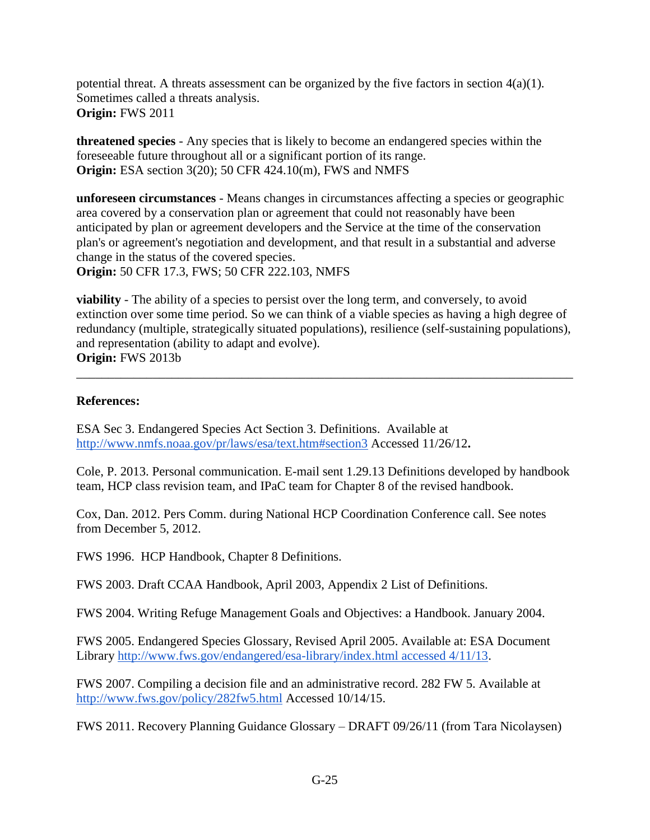potential threat. A threats assessment can be organized by the five factors in section  $4(a)(1)$ . Sometimes called a threats analysis. **Origin:** FWS 2011

**threatened species** - Any species that is likely to become an endangered species within the foreseeable future throughout all or a significant portion of its range. **Origin:** ESA section 3(20); 50 CFR 424.10(m), FWS and NMFS

**unforeseen circumstances** - Means changes in circumstances affecting a species or geographic area covered by a conservation plan or agreement that could not reasonably have been anticipated by plan or agreement developers and the Service at the time of the conservation plan's or agreement's negotiation and development, and that result in a substantial and adverse change in the status of the covered species.

**Origin:** 50 CFR 17.3, FWS; 50 CFR 222.103, NMFS

**viability** - The ability of a species to persist over the long term, and conversely, to avoid extinction over some time period. So we can think of a viable species as having a high degree of redundancy (multiple, strategically situated populations), resilience (self-sustaining populations), and representation (ability to adapt and evolve). **Origin:** FWS 2013b

\_\_\_\_\_\_\_\_\_\_\_\_\_\_\_\_\_\_\_\_\_\_\_\_\_\_\_\_\_\_\_\_\_\_\_\_\_\_\_\_\_\_\_\_\_\_\_\_\_\_\_\_\_\_\_\_\_\_\_\_\_\_\_\_\_\_\_\_\_\_\_\_\_\_\_\_\_\_

# **References:**

ESA Sec 3. Endangered Species Act Section 3. Definitions. Available a[t](http://www.nmfs.noaa.gov/pr/laws/esa/text.htm#section3) <http://www.nmfs.noaa.gov/pr/laws/esa/text.htm#section3> Accessed 11/26/12**.**

Cole, P. 2013. Personal communication. E-mail sent 1.29.13 Definitions developed by handbook team, HCP class revision team, and IPaC team for Chapter 8 of the revised handbook.

Cox, Dan. 2012. Pers Comm. during National HCP Coordination Conference call. See notes from December 5, 2012.

FWS 1996. HCP Handbook, Chapter 8 Definitions.

FWS 2003. Draft CCAA Handbook, April 2003, Appendix 2 List of Definitions.

FWS 2004. Writing Refuge Management Goals and Objectives: a Handbook. January 2004.

FWS 2005. Endangered Species Glossary, Revised April 2005. Available at: ESA Document Librar[y](http://www.fws.gov/endangered/esa-library/index.html%20accessed%204/11/13) [http://www.fws.gov/endangered/esa-library/index.html accessed 4/11/13.](http://www.fws.gov/endangered/esa-library/index.html%20accessed%204/11/13)

FWS 2007. Compiling a decision file and an administrative record. 282 FW 5. Available at <http://www.fws.gov/policy/282fw5.html> Accessed 10/14/15.

FWS 2011. Recovery Planning Guidance Glossary – DRAFT 09/26/11 (from Tara Nicolaysen)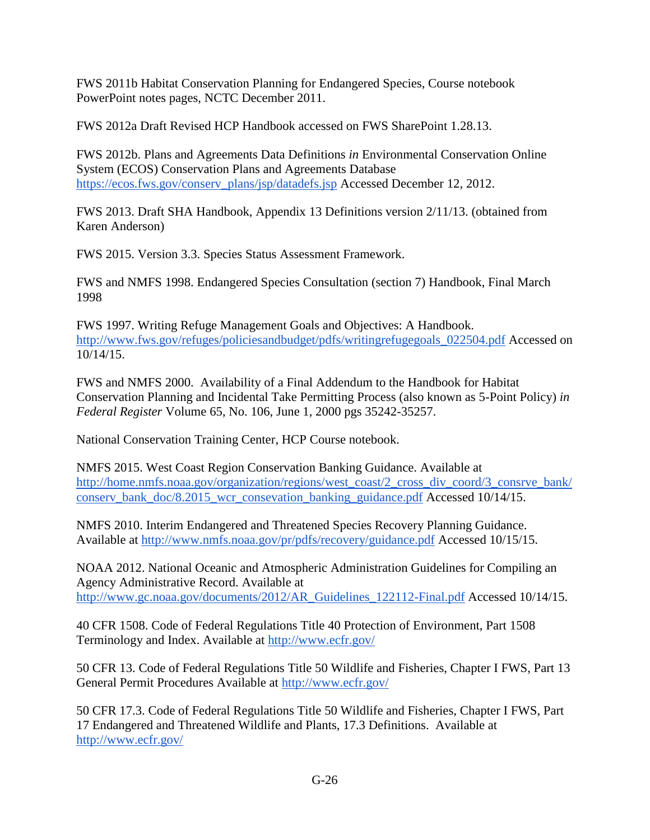FWS 2011b Habitat Conservation Planning for Endangered Species, Course notebook PowerPoint notes pages, NCTC December 2011.

FWS 2012a Draft Revised HCP Handbook accessed on FWS SharePoint 1.28.13.

FWS 2012b. Plans and Agreements Data Definitions *in* Environmental Conservation Online System (ECOS) Conservation Plans and Agreements Databas[e](https://ecos.fws.gov/conserv_plans/jsp/datadefs.jsp) [https://ecos.fws.gov/conserv\\_plans/jsp/datadefs.jsp](https://ecos.fws.gov/conserv_plans/jsp/datadefs.jsp) Accessed December 12, 2012.

FWS 2013. Draft SHA Handbook, Appendix 13 Definitions version 2/11/13. (obtained from Karen Anderson)

FWS 2015. Version 3.3. Species Status Assessment Framework.

FWS and NMFS 1998. Endangered Species Consultation (section 7) Handbook, Final March 1998

FWS 1997. Writing Refuge Management Goals and Objectives: A Handbook. [http://www.fws.gov/refuges/policiesandbudget/pdfs/writingrefugegoals\\_022504.pdf](http://www.fws.gov/refuges/policiesandbudget/pdfs/writingrefugegoals_022504.pdf) Accessed on 10/14/15.

FWS and NMFS 2000. Availability of a Final Addendum to the Handbook for Habitat Conservation Planning and Incidental Take Permitting Process (also known as 5-Point Policy) *in Federal Register* Volume 65, No. 106, June 1, 2000 pgs 35242-35257.

National Conservation Training Center, HCP Course notebook.

NMFS 2015. West Coast Region Conservation Banking Guidance. Available at [http://home.nmfs.noaa.gov/organization/regions/west\\_coast/2\\_cross\\_div\\_coord/3\\_consrve\\_bank/](http://home.nmfs.noaa.gov/organization/regions/west_coast/2_cross_div_coord/3_consrve_bank/conserv_bank_doc/8.2015_wcr_consevation_banking_guidance.pdf) [conserv\\_bank\\_doc/8.2015\\_wcr\\_consevation\\_banking\\_guidance.pdf](http://home.nmfs.noaa.gov/organization/regions/west_coast/2_cross_div_coord/3_consrve_bank/conserv_bank_doc/8.2015_wcr_consevation_banking_guidance.pdf) Accessed 10/14/15.

NMFS 2010. Interim Endangered and Threatened Species Recovery Planning Guidance. Available at<http://www.nmfs.noaa.gov/pr/pdfs/recovery/guidance.pdf> Accessed 10/15/15.

NOAA 2012. National Oceanic and Atmospheric Administration Guidelines for Compiling an Agency Administrative Record. Available at [http://www.gc.noaa.gov/documents/2012/AR\\_Guidelines\\_122112-Final.pdf](http://www.gc.noaa.gov/documents/2012/AR_Guidelines_122112-Final.pdf) Accessed 10/14/15.

40 CFR 1508. Code of Federal Regulations Title 40 Protection of Environment, Part 1508 Terminology and Index. Available at <http://www.ecfr.gov/>

50 CFR 13. Code of Federal Regulations Title 50 Wildlife and Fisheries, Chapter I FWS, Part 13 General Permit Procedures Available at <http://www.ecfr.gov/>

50 CFR 17.3. Code of Federal Regulations Title 50 Wildlife and Fisheries, Chapter I FWS, Part 17 Endangered and Threatened Wildlife and Plants, 17.3 Definitions. Available a[t](http://www.ecfr.gov/) <http://www.ecfr.gov/>